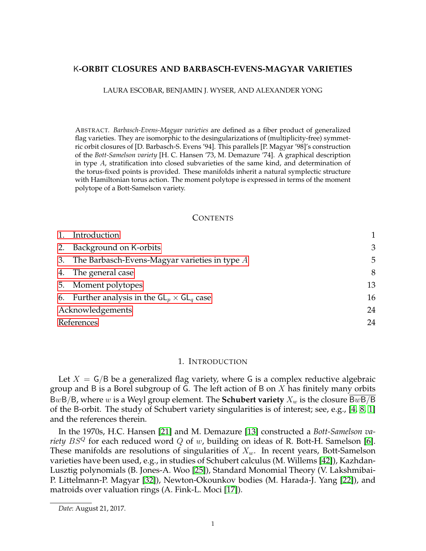# K**-ORBIT CLOSURES AND BARBASCH-EVENS-MAGYAR VARIETIES**

LAURA ESCOBAR, BENJAMIN J. WYSER, AND ALEXANDER YONG

ABSTRACT. *Barbasch-Evens-Magyar varieties* are defined as a fiber product of generalized flag varieties. They are isomorphic to the desingularizations of (multiplicity-free) symmetric orbit closures of [D. Barbasch-S. Evens '94]. This parallels [P. Magyar '98]'s construction of the *Bott-Samelson variety* [H. C. Hansen '73, M. Demazure '74]. A graphical description in type  $A$ , stratification into closed subvarieties of the same kind, and determination of the torus-fixed points is provided. These manifolds inherit a natural symplectic structure with Hamiltonian torus action. The moment polytope is expressed in terms of the moment polytope of a Bott-Samelson variety.

### **CONTENTS**

|                  | 1. Introduction                                    |    |
|------------------|----------------------------------------------------|----|
|                  | 2. Background on K-orbits                          | 3  |
|                  | 3. The Barbasch-Evens-Magyar varieties in type $A$ | 5  |
|                  | 4. The general case                                | 8  |
|                  | 5. Moment polytopes                                | 13 |
|                  | 6. Further analysis in the $GL_n \times GL_q$ case | 16 |
| Acknowledgements |                                                    | 24 |
| References       |                                                    | 24 |

### 1. INTRODUCTION

<span id="page-0-0"></span>Let  $X = G/B$  be a generalized flag variety, where G is a complex reductive algebraic group and B is a Borel subgroup of G. The left action of B on  $X$  has finitely many orbits BwB/B, where w is a Weyl group element. The **Schubert variety**  $X_w$  is the closure BwB/B of the B-orbit. The study of Schubert variety singularities is of interest; see, e.g., [\[4,](#page-23-2) [8,](#page-23-3) [1\]](#page-23-4) and the references therein.

In the 1970s, H.C. Hansen [\[21\]](#page-23-5) and M. Demazure [\[13\]](#page-23-6) constructed a *Bott-Samelson variety*  $BS^Q$  for each reduced word  $Q$  of  $w$ , building on ideas of R. Bott-H. Samelson [\[6\]](#page-23-7). These manifolds are resolutions of singularities of  $X_w$ . In recent years, Bott-Samelson varieties have been used, e.g., in studies of Schubert calculus (M. Willems [\[42\]](#page-24-0)), Kazhdan-Lusztig polynomials (B. Jones-A. Woo [\[25\]](#page-24-1)), Standard Monomial Theory (V. Lakshmibai-P. Littelmann-P. Magyar [\[32\]](#page-24-2)), Newton-Okounkov bodies (M. Harada-J. Yang [\[22\]](#page-23-8)), and matroids over valuation rings (A. Fink-L. Moci [\[17\]](#page-23-9)).

*Date*: August 21, 2017.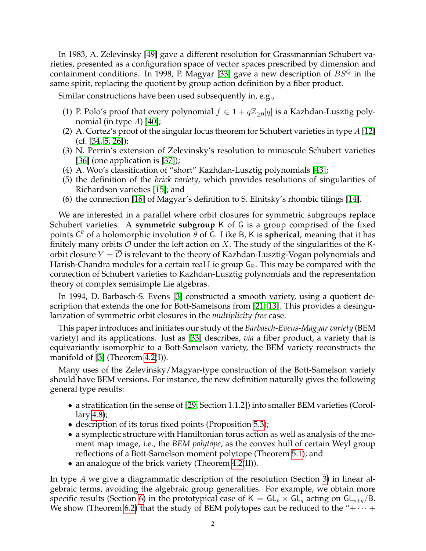In 1983, A. Zelevinsky [\[49\]](#page-24-3) gave a different resolution for Grassmannian Schubert varieties, presented as a configuration space of vector spaces prescribed by dimension and containment conditions. In 1998, P. Magyar [\[33\]](#page-24-4) gave a new description of  $BS^Q$  in the same spirit, replacing the quotient by group action definition by a fiber product.

Similar constructions have been used subsequently in, e.g.,

- (1) P. Polo's proof that every polynomial  $f \in 1 + q\mathbb{Z}_{\geq 0}[q]$  is a Kazhdan-Lusztig polynomial (in type  $A$ ) [\[40\]](#page-24-5);
- (2) A. Cortez's proof of the singular locus theorem for Schubert varieties in type  $A$  [\[12\]](#page-23-10)  $(cf. [34, 5, 26])$  $(cf. [34, 5, 26])$  $(cf. [34, 5, 26])$  $(cf. [34, 5, 26])$  $(cf. [34, 5, 26])$ ;
- (3) N. Perrin's extension of Zelevinsky's resolution to minuscule Schubert varieties [\[36\]](#page-24-8) (one application is [\[37\]](#page-24-9));
- (4) A. Woo's classification of "short" Kazhdan-Lusztig polynomials [\[43\]](#page-24-10);
- (5) the definition of the *brick variety*, which provides resolutions of singularities of Richardson varieties [\[15\]](#page-23-12); and
- (6) the connection [\[16\]](#page-23-13) of Magyar's definition to S. Elnitsky's rhombic tilings [\[14\]](#page-23-14).

We are interested in a parallel where orbit closures for symmetric subgroups replace Schubert varieties. A **symmetric subgroup** K of G is a group comprised of the fixed points G <sup>θ</sup> of a holomorphic involution θ of G. Like B, K is **spherical**, meaning that it has finitely many orbits  $\mathcal O$  under the left action on X. The study of the singularities of the Korbit closure  $Y = \mathcal{O}$  is relevant to the theory of Kazhdan-Lusztig-Vogan polynomials and Harish-Chandra modules for a certain real Lie group  $G_{\mathbb{R}}$ . This may be compared with the connection of Schubert varieties to Kazhdan-Lusztig polynomials and the representation theory of complex semisimple Lie algebras.

In 1994, D. Barbasch-S. Evens [\[3\]](#page-23-15) constructed a smooth variety, using a quotient description that extends the one for Bott-Samelsons from [\[21,](#page-23-5) [13\]](#page-23-6). This provides a desingularization of symmetric orbit closures in the *multiplicity-free* case.

This paper introduces and initiates our study of the *Barbasch-Evens-Magyar variety* (BEM variety) and its applications. Just as [\[33\]](#page-24-4) describes, *via* a fiber product, a variety that is equivariantly isomorphic to a Bott-Samelson variety, the BEM variety reconstructs the manifold of [\[3\]](#page-23-15) (Theorem [4.2\(](#page-8-0)I)).

Many uses of the Zelevinsky/Magyar-type construction of the Bott-Samelson variety should have BEM versions. For instance, the new definition naturally gives the following general type results:

- a stratification (in the sense of [\[29,](#page-24-11) Section 1.1.2]) into smaller BEM varieties (Corollary [4.8\)](#page-11-0);
- description of its torus fixed points (Proposition [5.3\)](#page-14-0);
- a symplectic structure with Hamiltonian torus action as well as analysis of the moment map image, i.e., the *BEM polytope*, as the convex hull of certain Weyl group reflections of a Bott-Samelson moment polytope (Theorem [5.1\)](#page-13-0); and
- an analogue of the brick variety (Theorem [4.2\(](#page-8-0)II)).

In type A we give a diagrammatic description of the resolution (Section [3\)](#page-4-0) in linear algebraic terms, avoiding the algebraic group generalities. For example, we obtain more specific results (Section [6\)](#page-15-0) in the prototypical case of  $K = GL_p \times GL_q$  acting on  $GL_{p+q}/B$ . We show (Theorem [6.2\)](#page-16-0) that the study of BEM polytopes can be reduced to the " $+\cdots+$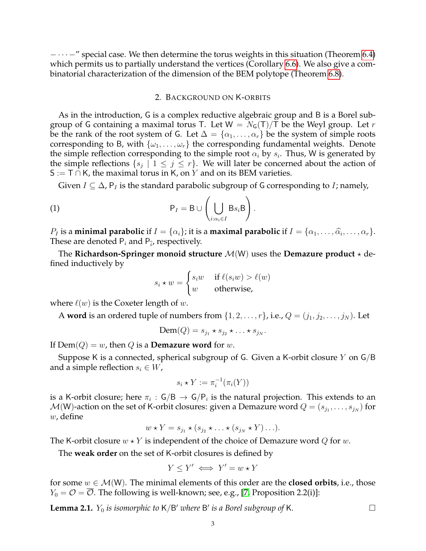− · · · −" special case. We then determine the torus weights in this situation (Theorem [6.4\)](#page-17-0) which permits us to partially understand the vertices (Corollary [6.6\)](#page-19-0). We also give a combinatorial characterization of the dimension of the BEM polytope (Theorem [6.8\)](#page-20-0).

## 2. BACKGROUND ON K-ORBITS

<span id="page-2-0"></span>As in the introduction, G is a complex reductive algebraic group and B is a Borel subgroup of G containing a maximal torus T. Let  $W = N<sub>G</sub>(T)/T$  be the Weyl group. Let r be the rank of the root system of G. Let  $\Delta = {\alpha_1, \ldots, \alpha_r}$  be the system of simple roots corresponding to B, with  $\{\omega_1, \dots, \omega_r\}$  the corresponding fundamental weights. Denote the simple reflection corresponding to the simple root  $\alpha_i$  by  $s_i$ . Thus, W is generated by the simple reflections  $\{s_j \mid 1 \leq j \leq r\}$ . We will later be concerned about the action of  $S := T \cap K$ , the maximal torus in K, on Y and on its BEM varieties.

Given  $I \subseteq \Delta$ ,  $P_I$  is the standard parabolic subgroup of G corresponding to I; namely,

(1) 
$$
P_I = B \cup \left( \bigcup_{i:\alpha_i \in I} Bs_iB \right).
$$

 $P_I$  is a **minimal parabolic** if  $I = {\alpha_i}$ ; it is a **maximal parabolic** if  $I = {\alpha_1, \dots, \widehat{\alpha_i}, \dots, \alpha_r}$ .<br>These are denoted B, and B, respectively. These are denoted  $P_i$  and  $P_{\hat{i}'}$  respectively.

The **Richardson-Springer monoid structure**  $M(W)$  uses the **Demazure product**  $\star$  defined inductively by

<span id="page-2-2"></span>
$$
s_i \star w = \begin{cases} s_i w & \text{if } \ell(s_i w) > \ell(w) \\ w & \text{otherwise,} \end{cases}
$$

where  $\ell(w)$  is the Coxeter length of w.

A **word** is an ordered tuple of numbers from  $\{1, 2, \ldots, r\}$ , i.e.,  $Q = (j_1, j_2, \ldots, j_N)$ . Let

$$
\text{Dem}(Q) = s_{j_1} \star s_{j_2} \star \ldots \star s_{j_N}.
$$

If  $\text{Dem}(Q) = w$ , then Q is a **Demazure word** for w.

Suppose K is a connected, spherical subgroup of G. Given a K-orbit closure Y on  $\mathsf{G}/\mathsf{B}$ and a simple reflection  $s_i \in W$ ,

$$
s_i \star Y := \pi_i^{-1}(\pi_i(Y))
$$

is a K-orbit closure; here  $\pi_i\,:\,\mathsf{G/B}\,\to\,\mathsf{G/P}_i$  is the natural projection. This extends to an  $\mathcal{M}(\mathsf{W})$ -action on the set of K-orbit closures: given a Demazure word  $Q=(s_{j_1},\ldots,s_{j_N})$  for  $w$ , define

$$
w \star Y = s_{j_1} \star (s_{j_2} \star \ldots \star (s_{j_N} \star Y) \ldots).
$$

The K-orbit closure  $w \star Y$  is independent of the choice of Demazure word Q for w.

The **weak order** on the set of K-orbit closures is defined by

$$
Y \le Y' \iff Y' = w \star Y
$$

for some  $w \in \mathcal{M}(W)$ . The minimal elements of this order are the **closed orbits**, i.e., those  $Y_0 = \mathcal{O} = \overline{\mathcal{O}}$ . The following is well-known; see, e.g., [\[7,](#page-23-16) Proposition 2.2(i)]:

<span id="page-2-1"></span>**Lemma 2.1.**  $Y_0$  *is isomorphic to*  $K/B'$  *where*  $B'$  *is a Borel subgroup of*  $K$ *.*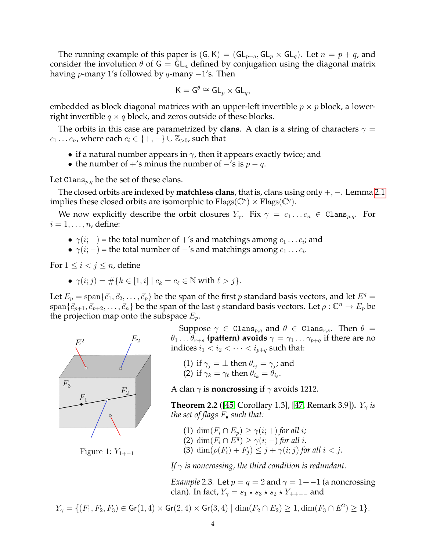The running example of this paper is  $(G, K) = (GL_{p+q}, GL_p \times GL_q)$ . Let  $n = p + q$ , and consider the involution  $\theta$  of  $G = GL_n$  defined by conjugation using the diagonal matrix having *p*-many 1's followed by *q*-many  $-1$ 's. Then

$$
\mathsf{K}=\mathsf{G}^\theta\cong \mathsf{GL}_p\times \mathsf{GL}_q,
$$

embedded as block diagonal matrices with an upper-left invertible  $p \times p$  block, a lowerright invertible  $q \times q$  block, and zeros outside of these blocks.

The orbits in this case are parametrized by **clans**. A clan is a string of characters  $\gamma$  =  $c_1 \ldots c_n$ , where each  $c_i \in \{+, -\} \cup \mathbb{Z}_{>0}$ , such that

- if a natural number appears in  $\gamma$ , then it appears exactly twice; and
- the number of  $+$ 's minus the number of  $-$ 's is  $p q$ .

Let Clans<sub>p,q</sub> be the set of these clans.

The closed orbits are indexed by **matchless clans**, that is, clans using only +, −. Lemma [2.1](#page-2-1) implies these closed orbits are isomorphic to  $\text{Flags}(\mathbb{C}^p) \times \text{Flags}(\mathbb{C}^q)$ .

We now explicitly describe the orbit closures  $Y_{\gamma}$ . Fix  $\gamma = c_1 \dots c_n \in \text{Clans}_{p,q}$ . For  $i = 1, \ldots, n$ , define:

- $\gamma(i;+)$  = the total number of +'s and matchings among  $c_1 \ldots c_i$ ; and
- $\gamma(i;-)$  = the total number of  $-$ 's and matchings among  $c_1 \dots c_i$ .

For  $1 \leq i \leq j \leq n$ , define

•  $\gamma(i; j) = #\{k \in [1, i] \mid c_k = c_\ell \in \mathbb{N} \text{ with } \ell > j\}.$ 

Let  $E_p = \text{span}\{\vec{e}_1, \vec{e}_2, \dots, \vec{e}_p\}$  be the span of the first p standard basis vectors, and let  $E^q =$  $\{e_{p+1}, e_{p+2}, \ldots, e_n\}$  be the span of the last q standard basis vectors. Let  $\rho : \mathbb{C}^n \to E_p$  be the projection map onto the subspace  $E_p$ .



Figure 1:  $Y_{1+-1}$ 

Suppose  $\gamma \in \text{Clans}_{p,q}$  and  $\theta \in \text{Clans}_{r,s}$ . Then  $\theta =$  $\theta_1 \dots \theta_{r+s}$  (**pattern**) avoids  $\gamma = \gamma_1 \dots \gamma_{p+q}$  if there are no indices  $i_1 < i_2 < \cdots < i_{p+q}$  such that:

(1) if  $\gamma_j = \pm$  then  $\theta_{i_j} = \gamma_j$ ; and (2) if  $\gamma_k = \gamma_\ell$  then  $\theta_{i_k} = \theta_{i_\ell}$ .

A clan  $\gamma$  is **noncrossing** if  $\gamma$  avoids 1212.

<span id="page-3-1"></span>**Theorem 2.2** ([\[45,](#page-24-12) Corollary 1.3], [\[47,](#page-24-13) Remark 3.9]).  $Y_{\gamma}$  *is the set of flags F. such that:* 

- <span id="page-3-0"></span>(1) dim $(F_i \cap E_p) \geq \gamma(i;+)$  *for all i*;
- (2)  $\dim(F_i \cap E^q) \geq \gamma(i; -)$  *for all i.*
- (3)  $\dim(\rho(F_i) + F_j) \leq j + \gamma(i; j)$  for all  $i < j$ .

*If*  $\gamma$  *is noncrossing, the third condition is redundant.* 

*Example* 2.3*.* Let  $p = q = 2$  and  $\gamma = 1 + -1$  (a noncrossing clan). In fact,  $Y_{\gamma} = s_1 \star s_3 \star s_2 \star Y_{++--}$  and

$$
Y_{\gamma} = \{ (F_1, F_2, F_3) \in \text{Gr}(1, 4) \times \text{Gr}(2, 4) \times \text{Gr}(3, 4) \mid \dim(F_2 \cap E_2) \ge 1, \dim(F_3 \cap E^2) \ge 1 \}.
$$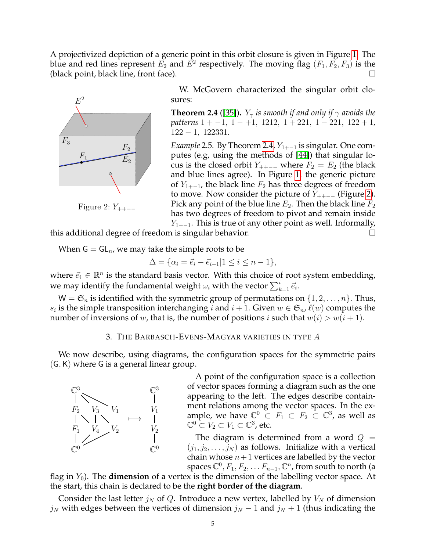A projectivized depiction of a generic point in this orbit closure is given in Figure [1.](#page-3-0) The blue and red lines represent  $E_2$  and  $E^2$  respectively. The moving flag  $(F_1, F_2, F_3)$  is the (black point, black line, front face).



Figure 2:  $Y_{++--}$ 

W. McGovern characterized the singular orbit closures:

<span id="page-4-1"></span>**Theorem 2.4** ([\[35\]](#page-24-14)).  $Y_{\gamma}$  *is smooth if and only if*  $\gamma$  *avoids the patterns* 1 + −1, 1 − +1, 1212, 1 + 221, 1 − 221, 122 + 1, 122 − 1, 122331*.*

<span id="page-4-2"></span>*Example* 2.5. By Theorem [2.4,](#page-4-1)  $Y_{1+-1}$  is singular. One computes (e.g, using the methods of [\[44\]](#page-24-15)) that singular locus is the closed orbit  $Y_{++-}$  where  $F_2 = E_2$  (the black and blue lines agree). In Figure [1,](#page-3-0) the generic picture of  $Y_{1+-1}$ , the black line  $F_2$  has three degrees of freedom to move. Now consider the picture of  $Y_{++-}$  (Figure [2\)](#page-4-2). Pick any point of the blue line  $E_2$ . Then the black line  $F_2$ has two degrees of freedom to pivot and remain inside

 $Y_{1+-1}$ . This is true of any other point as well. Informally, this additional degree of freedom is singular behavior.

When  $G = GL_n$ , we may take the simple roots to be

$$
\Delta = \{ \alpha_i = \vec{e}_i - \vec{e}_{i+1} | 1 \le i \le n-1 \},\
$$

where  $\vec{e}_i \in \mathbb{R}^n$  is the standard basis vector. With this choice of root system embedding, we may identify the fundamental weight  $\omega_i$  with the vector  $\sum_{k=1}^i \vec{e_i}.$ 

 $W = \mathfrak{S}_n$  is identified with the symmetric group of permutations on  $\{1, 2, \ldots, n\}$ . Thus,  $s_i$  is the simple transposition interchanging i and  $i + 1$ . Given  $w \in \mathfrak{S}_n$ ,  $\ell(w)$  computes the number of inversions of w, that is, the number of positions i such that  $w(i) > w(i + 1)$ .

## 3. THE BARBASCH-EVENS-MAGYAR VARIETIES IN TYPE A

<span id="page-4-0"></span>We now describe, using diagrams, the configuration spaces for the symmetric pairs  $(G, K)$  where G is a general linear group.



A point of the configuration space is a collection of vector spaces forming a diagram such as the one appearing to the left. The edges describe containment relations among the vector spaces. In the example, we have  $\mathbb{C}^0 \subset F_1 \subset F_2 \subset \mathbb{C}^3$ , as well as  $\mathbb{C}^0 \subset V_2 \subset V_1 \subset \mathbb{C}^3$ , etc.

The diagram is determined from a word  $Q =$  $(j_1, j_2, \ldots, j_N)$  as follows. Initialize with a vertical chain whose  $n+1$  vertices are labelled by the vector spaces  $\mathbb{C}^0, F_1, F_2, \ldots F_{n-1}, \mathbb{C}^n$ , from south to north (a

flag in  $Y_0$ ). The **dimension** of a vertex is the dimension of the labelling vector space. At the start, this chain is declared to be the **right border of the diagram**.

Consider the last letter  $j_N$  of Q. Introduce a new vertex, labelled by  $V_N$  of dimension  $j_N$  with edges between the vertices of dimension  $j_N - 1$  and  $j_N + 1$  (thus indicating the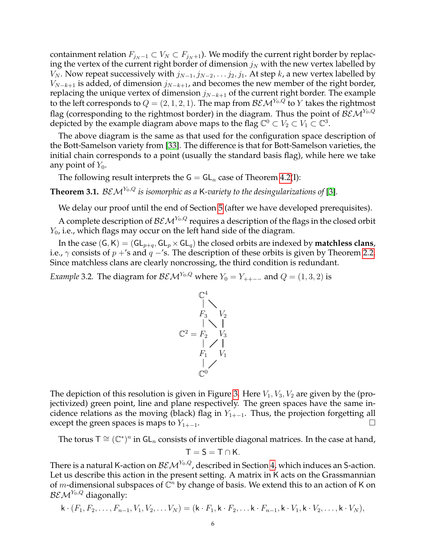containment relation  $F_{j_N-1} \subset V_N \subset F_{j_N+1}$ ). We modify the current right border by replacing the vertex of the current right border of dimension  $j_N$  with the new vertex labelled by  $V_N$ . Now repeat successively with  $j_{N-1}, j_{N-2}, \ldots, j_2, j_1$ . At step k, a new vertex labelled by  $V_{N-k+1}$  is added, of dimension  $j_{N-k+1}$ , and becomes the new member of the right border, replacing the unique vertex of dimension  $j_{N-k+1}$  of the current right border. The example to the left corresponds to  $Q = (2, 1, 2, 1)$ . The map from  $\mathcal{BEM}^{Y_0,Q}$  to Y takes the rightmost flag (corresponding to the rightmost border) in the diagram. Thus the point of  $\mathcal{BEM}^{Y_0,Q}$ depicted by the example diagram above maps to the flag  $\mathbb{C}^0 \subset V_2 \subset V_1 \subset \mathbb{C}^3$ .

The above diagram is the same as that used for the configuration space description of the Bott-Samelson variety from [\[33\]](#page-24-4). The difference is that for Bott-Samelson varieties, the initial chain corresponds to a point (usually the standard basis flag), while here we take any point of  $Y_0$ .

The following result interprets the  $G = GL_n$  case of Theorem [4.2\(](#page-8-0)I):

<span id="page-5-0"></span>**Theorem 3.1.** BEM<sup>Y<sub>0</sub>,Q</sup> is isomorphic as a K-variety to the desingularizations of [\[3\]](#page-23-15).

We delay our proof until the end of Section [5](#page-12-0) (after we have developed prerequisites).

A complete description of  $\mathcal{BEM}^{Y_0,Q}$  requires a description of the flags in the closed orbit  $Y_0$ , i.e., which flags may occur on the left hand side of the diagram.

In the case  $(G, K) = (GL_{p+q}, GL_p \times GL_q)$  the closed orbits are indexed by **matchless clans**, i.e.,  $\gamma$  consists of  $p + s$  and  $q - s$ . The description of these orbits is given by Theorem [2.2.](#page-3-1) Since matchless clans are clearly noncrossing, the third condition is redundant.

*Example* 3.2*.* The diagram for  $BEM^{Y_0,Q}$  where  $Y_0 = Y_{++-+}$  and  $Q = (1,3,2)$  is

$$
\begin{array}{c}\n\mathbb{C}^4 \\
\mid \\
F_3 \quad V_2 \\
\mid \\
\mathbb{C}^2 = F_2 \quad V_3 \\
\mid \\
F_1 \quad V_1 \\
\mid \\
\mathbb{C}^0\n\end{array}
$$

The depiction of this resolution is given in Figure [3.](#page-6-0) Here  $V_1$ ,  $V_3$ ,  $V_2$  are given by the (projectivized) green point, line and plane respectively. The green spaces have the same incidence relations as the moving (black) flag in  $Y_{1+-1}$ . Thus, the projection forgetting all except the green spaces is maps to  $Y_{1+-1}$ .

The torus T  $\cong$   $({\mathbb C}^*)^n$  in GL<sub>n</sub> consists of invertible diagonal matrices. In the case at hand,  $T = S = T \cap K$ .

There is a natural K-action on  $BEM<sup>Y<sub>0</sub>,Q</sup>$ , described in Section [4,](#page-7-0) which induces an S-action. Let us describe this action in the present setting. A matrix in K acts on the Grassmannian of m-dimensional subspaces of  $\mathbb{C}^n$  by change of basis. We extend this to an action of K on  $BEM^{Y_0,Q}$  diagonally:

$$
\mathsf{k} \cdot (F_1, F_2, \ldots, F_{n-1}, V_1, V_2, \ldots V_N) = (\mathsf{k} \cdot F_1, \mathsf{k} \cdot F_2, \ldots \mathsf{k} \cdot F_{n-1}, \mathsf{k} \cdot V_1, \mathsf{k} \cdot V_2, \ldots, \mathsf{k} \cdot V_N),
$$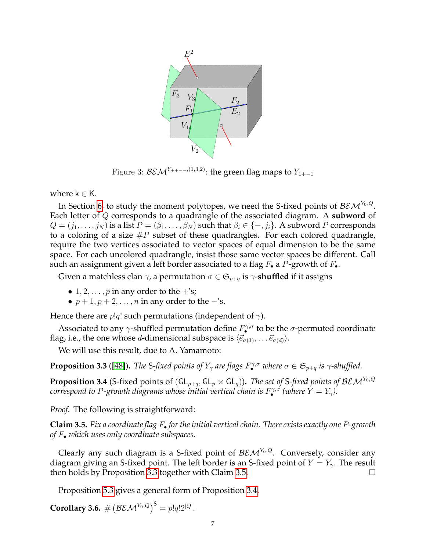<span id="page-6-0"></span>

Figure 3:  $BEM^{Y_{++--},(1,3,2)}$ : the green flag maps to  $Y_{1+-1}$ 

where  $k \in K$ .

In Section [6,](#page-15-0) to study the moment polytopes, we need the S-fixed points of  $\mathcal{BEM}^{Y_0,Q}.$ Each letter of Q corresponds to a quadrangle of the associated diagram. A **subword** of  $Q = (j_1, \ldots, j_N)$  is a list  $P = (\beta_1, \ldots, \beta_N)$  such that  $\beta_i \in \{-, j_i\}$ . A subword P corresponds to a coloring of a size  $\#P$  subset of these quadrangles. For each colored quadrangle, require the two vertices associated to vector spaces of equal dimension to be the same space. For each uncolored quadrangle, insist those same vector spaces be different. Call such an assignment given a left border associated to a flag  $F_{\bullet}$  a P-growth of  $F_{\bullet}$ .

Given a matchless clan  $\gamma$ , a permutation  $\sigma \in \mathfrak{S}_{p+q}$  is  $\gamma$ -**shuffled** if it assigns

- 1, 2,  $\ldots$ , *p* in any order to the  $+$ 's;
- $p + 1, p + 2, \ldots, n$  in any order to the  $-$ 's.

Hence there are  $p!q!$  such permutations (independent of  $\gamma$ ).

Associated to any  $\gamma$ -shuffled permutation define  $F^{\gamma,\sigma}$  to be the  $\sigma$ -permuted coordinate flag, i.e., the one whose *d*-dimensional subspace is  $\langle \vec{e}_{\sigma(1)}, \dots \vec{e}_{\sigma(d)} \rangle$ .

We will use this result, due to A. Yamamoto:

<span id="page-6-1"></span>**Proposition 3.3** ([\[48\]](#page-24-16)). *The* S-fixed points of  $Y_{\gamma}$  are flags  $F_{\bullet}^{\gamma,\sigma}$  where  $\sigma \in \mathfrak{S}_{p+q}$  is  $\gamma$ -shuffled.

<span id="page-6-3"></span>**Proposition 3.4** (S-fixed points of  $(GL_{p+q}, GL_p \times GL_q)$ ). *The set of S-fixed points of BEM<sup>Y<sub>0</sub>,Q</sub>*</sup>  $\alpha$  *correspond to P-growth diagrams whose initial vertical chain is*  $F^{\gamma,\sigma}_{\bullet}$  *(where*  $Y=Y_{\gamma}$ *).* 

*Proof.* The following is straightforward:

<span id="page-6-2"></span>**Claim 3.5.** *Fix a coordinate flag* F• *for the initial vertical chain. There exists exactly one* P*-growth of* F• *which uses only coordinate subspaces.*

Clearly any such diagram is a S-fixed point of  $BEM<sup>Y<sub>0</sub>,Q</sup>$ . Conversely, consider any diagram giving an S-fixed point. The left border is an S-fixed point of  $Y = Y_{\gamma}$ . The result then holds by Proposition [3.3](#page-6-1) together with Claim [3.5.](#page-6-2)

Proposition [5.3](#page-14-0) gives a general form of Proposition [3.4.](#page-6-3)

<span id="page-6-4"></span>**Corollary 3.6.**  $\#\left(\mathcal{BEM}^{Y_0,Q}\right)^{\mathsf{S}} = p!q!2^{|Q|}$ .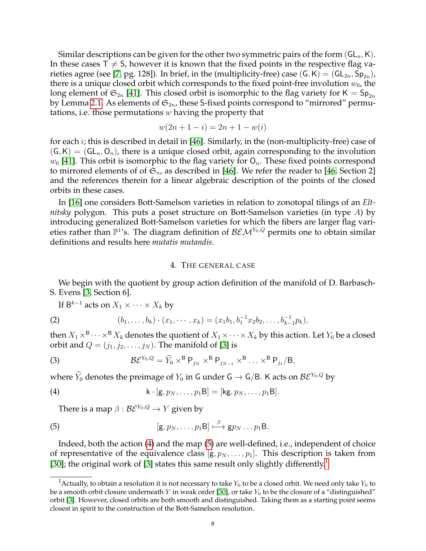Similar descriptions can be given for the other two symmetric pairs of the form  $(GL_n,K)$ . In these cases  $T \neq S$ , however it is known that the fixed points in the respective flag va-rieties agree (see [\[7,](#page-23-16) pg. 128]). In brief, in the (multiplicity-free) case  $(\mathsf{G},\mathsf{K})=(\mathsf{GL}_{2n},\mathsf{Sp}_{2n})$ , there is a unique closed orbit which corresponds to the fixed point-free involution  $w_0$ , the long element of  $\mathfrak{S}_{2n}$  [\[41\]](#page-24-17). This closed orbit is isomorphic to the flag variety for K =  $\mathsf{Sp}_{2n}$ by Lemma [2.1.](#page-2-1) As elements of  $\mathfrak{S}_{2n}$ , these S-fixed points correspond to "mirrored" permutations, i.e. those permutations  $w$  having the property that

$$
w(2n + 1 - i) = 2n + 1 - w(i)
$$

for each i; this is described in detail in [\[46\]](#page-24-18). Similarly, in the (non-multiplicity-free) case of  $(G, K) = (GL_n, O_n)$ , there is a unique closed orbit, again corresponding to the involution  $w_0$  [\[41\]](#page-24-17). This orbit is isomorphic to the flag variety for  $O_n$ . These fixed points correspond to mirrored elements of of  $\mathfrak{S}_n$ , as described in [\[46\]](#page-24-18). We refer the reader to [\[46,](#page-24-18) Section 2] and the references therein for a linear algebraic description of the points of the closed orbits in these cases.

In [\[16\]](#page-23-13) one considers Bott-Samelson varieties in relation to zonotopal tilings of an *Eltnitsky* polygon. This puts a poset structure on Bott-Samelson varieties (in type A) by introducing generalized Bott-Samelson varieties for which the fibers are larger flag varieties rather than  $\mathbb{P}^1$ 's. The diagram definition of  $\mathcal{BEM}^{Y_0,Q}$  permits one to obtain similar definitions and results here *mutatis mutandis*.

## 4. THE GENERAL CASE

<span id="page-7-0"></span>We begin with the quotient by group action definition of the manifold of D. Barbasch-S. Evens [\[3,](#page-23-15) Section 6].

<span id="page-7-5"></span>If  $\mathsf{B}^{k-1}$  acts on  $X_1 \times \cdots \times X_k$  by

(2) 
$$
(b_1,\ldots,b_k)\cdot(x_1,\cdots,x_k)=(x_1b_1,b_1^{-1}x_2b_2,\ldots,b_{k-1}^{-1}p_k),
$$

then  $X_1 \times^{\mathsf{B}} \cdots \times^{\mathsf{B}} X_k$  denotes the quotient of  $X_1 \times \cdots \times X_k$  by this action. Let  $Y_0$  be a closed orbit and  $Q = (j_1, j_2, \dots, j_N)$ . The manifold of [\[3\]](#page-23-15) is

<span id="page-7-4"></span>(3) 
$$
\mathcal{B}\mathcal{E}^{Y_0,Q}=\widetilde{Y}_0\times^{\mathsf{B}}\mathsf{P}_{j_N}\times^{\mathsf{B}}\mathsf{P}_{j_{N-1}}\times^{\mathsf{B}}\ldots\times^{\mathsf{B}}\mathsf{P}_{j_1}/\mathsf{B},
$$

where  $\widetilde{Y}_0$  denotes the preimage of  $Y_0$  in G under G  $\rightarrow$  G/B. K acts on  $\mathcal{BE}^{Y_0,Q}$  by

(4) 
$$
\mathsf{k} \cdot [\mathsf{g}, p_N, \ldots, p_1 \mathsf{B}] = [\mathsf{kg}, p_N, \ldots, p_1 \mathsf{B}].
$$

<span id="page-7-2"></span><span id="page-7-1"></span>There is a map  $\beta$  :  $\mathcal{BE}^{Y_0,Q} \to Y$  given by

(5) 
$$
[\mathbf{g}, p_N, \ldots, p_1B] \stackrel{\beta}{\longmapsto} \mathbf{g} p_N \ldots p_1B.
$$

Indeed, both the action [\(4\)](#page-7-1) and the map [\(5\)](#page-7-2) are well-defined, i.e., independent of choice of representative of the equivalence class  $[g, p_N, \ldots, p_1]$ . This description is taken from [\[30\]](#page-24-19); the original work of [\[3\]](#page-23-15) states this same result only slightly differently.<sup>[1](#page-7-3)</sup>

<span id="page-7-3"></span><sup>&</sup>lt;sup>1</sup>Actually, to obtain a resolution it is not necessary to take  $Y_0$  to be a closed orbit. We need only take  $Y_0$  to be a smooth orbit closure underneath Y in weak order [\[30\]](#page-24-19), or take  $Y_0$  to be the closure of a "distinguished" orbit [\[3\]](#page-23-15). However, closed orbits are both smooth and distinguished. Taking them as a starting point seems closest in spirit to the construction of the Bott-Samelson resolution.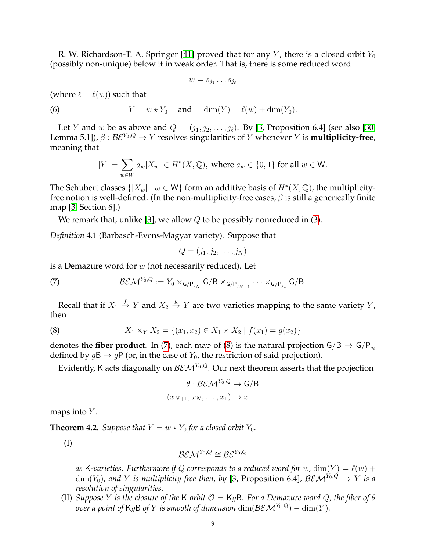R. W. Richardson-T. A. Springer [\[41\]](#page-24-17) proved that for any Y, there is a closed orbit  $Y_0$ (possibly non-unique) below it in weak order. That is, there is some reduced word

$$
w = s_{j_1} \dots s_{j_\ell}
$$

(where  $\ell = \ell(w)$ ) such that

(6) 
$$
Y = w \star Y_0 \quad \text{and} \quad \dim(Y) = \ell(w) + \dim(Y_0).
$$

Let Y and w be as above and  $Q = (j_1, j_2, \ldots, j_\ell)$ . By [\[3,](#page-23-15) Proposition 6.4] (see also [\[30,](#page-24-19) Lemma 5.1]),  $\beta : \mathcal{BE}^{Y_0,Q} \to Y$  resolves singularities of Y whenever Y is **multiplicity-free**, meaning that

$$
[Y] = \sum_{w \in W} a_w [X_w] \in H^*(X, \mathbb{Q}), \text{ where } a_w \in \{0, 1\} \text{ for all } w \in \mathsf{W}.
$$

The Schubert classes  $\{[X_w] : w \in \mathsf{W}\}\)$  form an additive basis of  $H^*(X,\mathbb{Q})$ , the multiplicityfree notion is well-defined. (In the non-multiplicity-free cases,  $\beta$  is still a generically finite map [\[3,](#page-23-15) Section 6].)

We remark that, unlike [\[3\]](#page-23-15), we allow  $Q$  to be possibly nonreduced in [\(3\)](#page-7-4).

*Definition* 4.1 (Barbasch-Evens-Magyar variety)*.* Suppose that

<span id="page-8-1"></span>
$$
Q=(j_1,j_2,\ldots,j_N)
$$

is a Demazure word for  $w$  (not necessarily reduced). Let

(7)  $\mathcal{BEM}^{Y_0,Q} := Y_0 \times_{\mathsf{G/P}_{j_N}} \mathsf{G/B} \times_{\mathsf{G/P}_{j_{N-1}}} \cdots \times_{\mathsf{G/P}_{j_1}} \mathsf{G/B}.$ 

Recall that if  $X_1 \stackrel{f}{\rightarrow} Y$  and  $X_2 \stackrel{g}{\rightarrow} Y$  are two varieties mapping to the same variety  $Y$ , then

(8) 
$$
X_1 \times_Y X_2 = \{(x_1, x_2) \in X_1 \times X_2 \mid f(x_1) = g(x_2)\}
$$

denotes the **fiber product**. In [\(7\)](#page-8-1), each map of [\(8\)](#page-8-2) is the natural projection  $G/B \rightarrow G/P_{j_i}$ defined by  $g\mathsf{B} \mapsto g\mathsf{P}$  (or, in the case of  $Y_0$ , the restriction of said projection).

Evidently, K acts diagonally on  $\mathcal{BEM}^{Y_0,Q}$ . Our next theorem asserts that the projection

<span id="page-8-2"></span>
$$
\theta : \mathcal{BEM}^{Y_0, Q} \to \mathsf{G/B}
$$

$$
(x_{N+1}, x_N, \dots, x_1) \mapsto x_1
$$

maps into  $Y$ .

<span id="page-8-0"></span>**Theorem 4.2.** *Suppose that*  $Y = w \star Y_0$  *for a closed orbit*  $Y_0$ *.* 

(I)

$$
\mathcal{BEM}^{Y_0,Q}\cong\mathcal{B}\mathcal{E}^{Y_0,Q}
$$

as K-varieties. Furthermore if Q corresponds to a reduced word for w,  $\dim(Y) = \ell(w) +$  $\dim(Y_0)$ , and Y is multiplicity-free then, by [\[3,](#page-23-15) Proposition 6.4],  $\mathcal{BEM}^{Y_0,Q} \to Y$  is a *resolution of singularities.*

(II) *Suppose* Y *is the closure of the* K-orbit  $\mathcal{O} = \mathsf{K}$ gB. For a Demazure word Q, the fiber of  $\theta$ *over a point of* KgB *of* Y *is smooth of dimension* dim( $\mathcal{BEM}^{Y_0,Q}$ ) – dim(Y).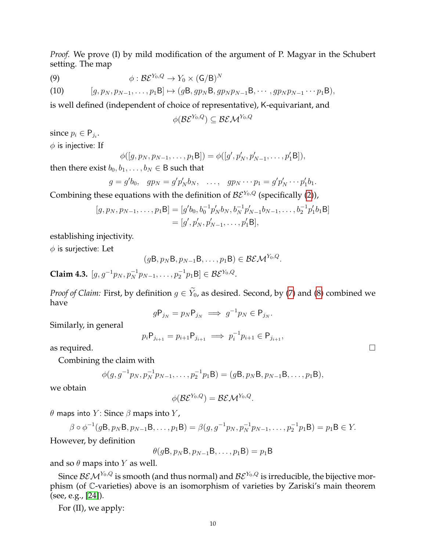*Proof.* We prove (I) by mild modification of the argument of P. Magyar in the Schubert setting. The map

(9) 
$$
\phi: \mathcal{B} \mathcal{E}^{Y_0, Q} \to Y_0 \times (\mathsf{G/B})^N
$$

(10) 
$$
[g, p_N, p_{N-1}, \ldots, p_1B] \mapsto (gB, gp_NB, gp_Np_{N-1}B, \cdots, gp_Np_{N-1} \cdots p_1B),
$$

is well defined (independent of choice of representative), K-equivariant, and

$$
\phi(\mathcal{B}\mathcal{E}^{Y_0,Q})\subseteq \mathcal{B}\mathcal{E}\mathcal{M}^{Y_0,Q}
$$

since  $p_i \in \mathsf{P}_{j_i}$ .  $\phi$  is injective: If

$$
\phi([g, p_N, p_{N-1}, \dots, p_1B]) = \phi([g', p'_N, p'_{N-1}, \dots, p'_1B]),
$$

then there exist  $b_0, b_1, \ldots, b_N \in B$  such that

$$
g = g'b_0
$$
,  $gp_N = g'p'_Nb_N$ , ...,  $gp_N \cdots p_1 = g'p'_N \cdots p'_1b_1$ .

Combining these equations with the definition of  $BE^{Y_0,Q}$  (specifically [\(2\)](#page-7-5)),

$$
[g, p_N, p_{N-1}, \dots, p_1B] = [g'b_0, b_0^{-1}p'_N b_N, b_N^{-1}p'_{N-1}b_{N-1}, \dots, b_2^{-1}p'_1b_1B]
$$
  
=  $[g', p'_N, p'_{N-1}, \dots, p'_1B],$ 

establishing injectivity.

 $\phi$  is surjective: Let

$$
(g\mathsf{B}, p_N\mathsf{B}, p_{N-1}\mathsf{B}, \ldots, p_1\mathsf{B}) \in \mathcal{BEM}^{Y_0, Q}.
$$

**Claim 4.3.**  $[g, g^{-1}p_N, p_N^{-1}p_{N-1}, \dots, p_2^{-1}p_1B] \in \mathcal{BE}^{Y_0, Q}$ .

*Proof of Claim:* First, by definition  $g \in Y_0$ , as desired. Second, by [\(7\)](#page-8-1) and [\(8\)](#page-8-2) combined we have

$$
g\mathsf{P}_{j_N} = p_N \mathsf{P}_{j_N} \implies g^{-1}p_N \in \mathsf{P}_{j_N}
$$

.

Similarly, in general

$$
p_i \mathsf{P}_{j_{i+1}} = p_{i+1} \mathsf{P}_{j_{i+1}} \implies p_i^{-1} p_{i+1} \in \mathsf{P}_{j_{i+1}},
$$

as required.  $\Box$ 

Combining the claim with

$$
\phi(g, g^{-1}p_N, p_N^{-1}p_{N-1}, \dots, p_2^{-1}p_1B) = (gB, p_NB, p_{N-1}B, \dots, p_1B),
$$

we obtain

$$
\phi(\mathcal{B}\mathcal{E}^{Y_0,Q})=\mathcal{B}\mathcal{E}\mathcal{M}^{Y_0,Q}.
$$

θ maps into Y: Since  $β$  maps into Y,

$$
\beta \circ \phi^{-1}(g\mathsf{B}, p_N\mathsf{B}, p_{N-1}\mathsf{B}, \dots, p_1\mathsf{B}) = \beta(g, g^{-1}p_N, p_N^{-1}p_{N-1}, \dots, p_2^{-1}p_1\mathsf{B}) = p_1\mathsf{B} \in Y.
$$

However, by definition

 $\theta(g\mathsf{B}, p_N \mathsf{B}, p_{N-1} \mathsf{B}, \ldots, p_1 \mathsf{B}) = p_1 \mathsf{B}$ 

and so  $\theta$  maps into Y as well.

Since  $BEM^{Y_0,Q}$  is smooth (and thus normal) and  $BEM^{Y_0,Q}$  is irreducible, the bijective morphism (of C-varieties) above is an isomorphism of varieties by Zariski's main theorem (see, e.g., [\[24\]](#page-23-17)).

For (II), we apply: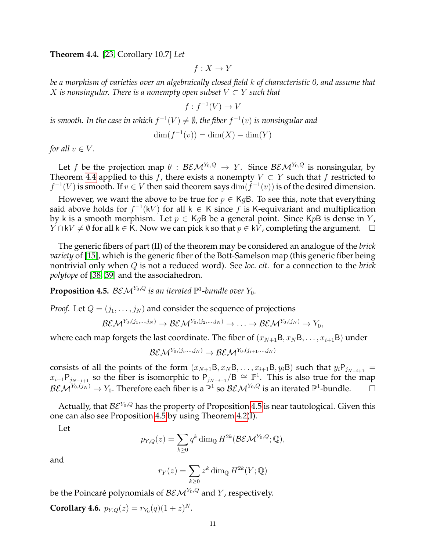<span id="page-10-0"></span>**Theorem 4.4.** [\[23,](#page-23-18) Corollary 10.7] *Let*

 $f: X \to Y$ 

*be a morphism of varieties over an algebraically closed field* k *of characteristic 0, and assume that X* is nonsingular. There is a nonempty open subset  $V \subset Y$  such that

$$
f: f^{-1}(V) \to V
$$

*is smooth. In the case in which*  $f^{-1}(V) \neq \emptyset$ *, the fiber*  $f^{-1}(v)$  *is nonsingular and* 

$$
\dim(f^{-1}(v)) = \dim(X) - \dim(Y)
$$

*for all*  $v \in V$ *.* 

Let f be the projection map  $\theta$  :  $\mathcal{BEM}^{Y_0,Q} \to Y$ . Since  $\mathcal{BEM}^{Y_0,Q}$  is nonsingular, by Theorem [4.4](#page-10-0) applied to this f, there exists a nonempty  $V \subset Y$  such that f restricted to  $f^{-1}(V)$  is smooth. If  $v \in V$  then said theorem says  $\dim(f^{-1}(v))$  is of the desired dimension.

However, we want the above to be true for  $p \in KgB$ . To see this, note that everything said above holds for  $f^{-1}(kV)$  for all  $k \in K$  since f is K-equivariant and multiplication by k is a smooth morphism. Let  $p \in KgB$  be a general point. Since KpB is dense in Y,  $Y \cap kV \neq \emptyset$  for all k ∈ K. Now we can pick k so that  $p \in kV$ , completing the argument.  $\Box$ 

The generic fibers of part (II) of the theorem may be considered an analogue of the *brick variety* of [\[15\]](#page-23-12), which is the generic fiber of the Bott-Samelson map (this generic fiber being nontrivial only when Q is not a reduced word). See *loc. cit.* for a connection to the *brick polytope* of [\[38,](#page-24-20) [39\]](#page-24-21) and the associahedron.

<span id="page-10-1"></span>**Proposition 4.5.**  $BEM^{Y_0,Q}$  is an iterated  $\mathbb{P}^1$ -bundle over  $Y_0$ .

*Proof.* Let  $Q = (j_1, \ldots, j_N)$  and consider the sequence of projections

$$
\mathcal{BEM}^{Y_0,(j_1,...,j_N)}\to \mathcal{BEM}^{Y_0,(j_2,...,j_N)}\to \ldots \to \mathcal{BEM}^{Y_0,(j_N)}\to Y_0,
$$

where each map forgets the last coordinate. The fiber of  $(x_{N+1}B, x_NB, \ldots, x_{i+1}B)$  under

$$
\mathcal{BEM}^{Y_0,(j_i,...,j_N)}\to \mathcal{BEM}^{Y_0,(j_{i+1},...,j_N)}
$$

consists of all the points of the form  $(x_{N+1}B, x_NB, \ldots, x_{i+1}B, y_iB)$  such that  $y_iP_{j_{N-i+1}} =$  $x_{i+1}P_{j_{N-i+1}}$  so the fiber is isomorphic to  $P_{j_{N-i+1}}/B \cong \mathbb{P}^1$ . This is also true for the map  $\mathcal{BEM}^{Y_0,(j_N)}\to Y_0.$  Therefore each fiber is a  $\mathbb{P}^1$  so  $\mathcal{BEM}^{Y_0,Q}$  is an iterated  $\mathbb{P}^1$ -bundle.  $\hfill\Box$ 

Actually, that  $BE^{Y_0,Q}$  has the property of Proposition [4.5](#page-10-1) is near tautological. Given this one can also see Proposition [4.5](#page-10-1) by using Theorem [4.2\(](#page-8-0)I).

Let

$$
p_{Y,Q}(z) = \sum_{k\geq 0} q^k \dim_{\mathbb{Q}} H^{2k}(\mathcal{BEM}^{Y_0,Q};\mathbb{Q}),
$$

and

$$
r_Y(z) = \sum_{k \ge 0} z^k \dim_{\mathbb{Q}} H^{2k}(Y; \mathbb{Q})
$$

be the Poincaré polynomials of  $\mathcal{BEM}^{Y_0,Q}$  and Y, respectively.

**Corollary 4.6.**  $p_{Y,Q}(z) = r_{Y_0}(q)(1+z)^N$ .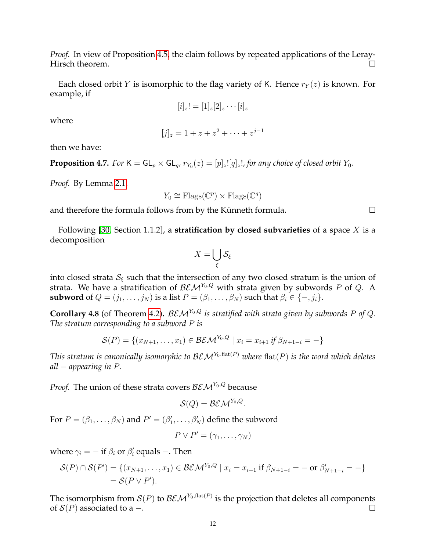*Proof.* In view of Proposition [4.5,](#page-10-1) the claim follows by repeated applications of the Leray-Hirsch theorem.  $\hfill \square$ 

Each closed orbit Y is isomorphic to the flag variety of K. Hence  $r_Y(z)$  is known. For example, if

$$
[i]_z! = [1]_z[2]_z \cdots [i]_z
$$

where

$$
[j]_z = 1 + z + z^2 + \dots + z^{j-1}
$$

then we have:

**Proposition 4.7.** For  $\mathsf{K} = \mathsf{GL}_p \times \mathsf{GL}_q$ ,  $r_{Y_0}(z) = [p]_z![q]_z!$ , for any choice of closed orbit  $Y_0$ .

*Proof.* By Lemma [2.1,](#page-2-1)

$$
Y_0 \cong \mathrm{Flags}(\mathbb{C}^p) \times \mathrm{Flags}(\mathbb{C}^q)
$$

and therefore the formula follows from by the Künneth formula.  $\Box$ 

Following [\[30,](#page-24-19) Section 1.1.2], a **stratification by closed subvarieties** of a space X is a decomposition

$$
X=\bigcup_\xi \mathcal{S}_\xi
$$

into closed strata  $S_{\xi}$  such that the intersection of any two closed stratum is the union of strata. We have a stratification of  $BEM^{Y_0,Q}$  with strata given by subwords P of Q. A **subword** of  $Q = (j_1, \ldots, j_N)$  is a list  $P = (\beta_1, \ldots, \beta_N)$  such that  $\beta_i \in \{-, j_i\}$ .

<span id="page-11-0"></span>**Corollary 4.8** (of Theorem [4.2\)](#page-8-0).  $BEM^{Y_0,Q}$  is stratified with strata given by subwords P of Q. *The stratum corresponding to a subword* P *is*

$$
\mathcal{S}(P) = \{ (x_{N+1}, \dots, x_1) \in \mathcal{BEM}^{Y_0, Q} \mid x_i = x_{i+1} \text{ if } \beta_{N+1-i} = - \}
$$

*This stratum is canonically isomorphic to*  $BEM<sup>Y<sub>0</sub>, flat(P)</sup>$  *where*  $flat(P)$  *is the word which deletes all* − *appearing in* P*.*

*Proof.* The union of these strata covers  $BEM^{Y_0,Q}$  because

$$
\mathcal{S}(Q) = \mathcal{BEM}^{Y_0,Q}.
$$

For  $P = (\beta_1, \ldots, \beta_N)$  and  $P' = (\beta'_1, \ldots, \beta'_N)$  define the subword

$$
P \vee P' = (\gamma_1, \ldots, \gamma_N)
$$

where  $\gamma_i = -$  if  $\beta_i$  or  $\beta'_i$  equals  $-$ . Then

$$
\mathcal{S}(P) \cap \mathcal{S}(P') = \{ (x_{N+1}, \dots, x_1) \in \mathcal{BEM}^{Y_0, Q} \mid x_i = x_{i+1} \text{ if } \beta_{N+1-i} = - \text{ or } \beta'_{N+1-i} = - \} = \mathcal{S}(P \vee P').
$$

The isomorphism from  $\mathcal{S}(P)$  to  $\mathcal{BEM}^{Y_0,\text{flat}(P)}$  is the projection that deletes all components of  $S(P)$  associated to a −.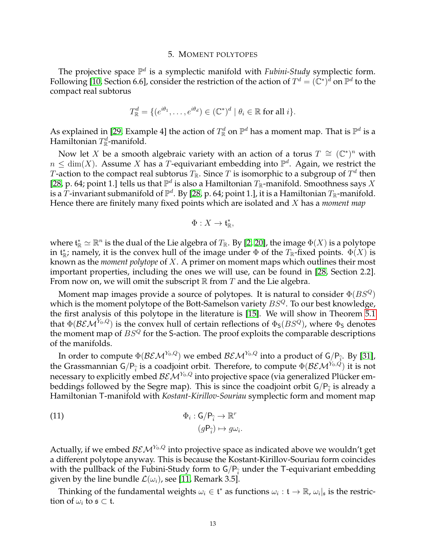#### 5. MOMENT POLYTOPES

<span id="page-12-0"></span>The projective space  $\mathbb{P}^d$  is a symplectic manifold with *Fubini-Study* symplectic form. Following [\[10,](#page-23-19) Section 6.6], consider the restriction of the action of  $T^d = (\mathbb{C}^*)^{\tilde{d}}$  on  $\mathbb{P}^d$  to the compact real subtorus

$$
T_{\mathbb{R}}^d = \{ (e^{i\theta_1}, \dots, e^{i\theta_d}) \in (\mathbb{C}^*)^d \mid \theta_i \in \mathbb{R} \text{ for all } i \}.
$$

As explained in [\[29,](#page-24-11) Example 4] the action of  $T^d_{\mathbb{R}}$  on  $\mathbb{P}^d$  has a moment map. That is  $\mathbb{P}^d$  is a Hamiltonian  $T^d_{\mathbb{R}}$ -manifold.

Now let X be a smooth algebraic variety with an action of a torus  $T \cong (\mathbb{C}^*)^n$  with  $n \leq \dim(X)$ . Assume X has a T-equivariant embedding into  $\mathbb{P}^d$ . Again, we restrict the  $T$ -action to the compact real subtorus  $T_{\mathbb R}.$  Since  $T$  is isomorphic to a subgroup of  $T^d$  then [\[28,](#page-24-22) p. 64; point 1.] tells us that  $\mathbb{P}^d$  is also a Hamiltonian  $T_{\mathbb{R}}$ -manifold. Smoothness says X is a  $\bar{T}$ -invariant submanifold of  $\mathbb{P}^d$ . By [\[28,](#page-24-22) p. 64; point 1.], it is a Hamiltonian  $T_\mathbb{R}$ -manifold. Hence there are finitely many fixed points which are isolated and X has a *moment map*

$$
\Phi: X \to \mathfrak{t}_{\mathbb{R}}^*,
$$

where  $\mathfrak{t}_{\mathbb{R}}^* \simeq \mathbb{R}^n$  is the dual of the Lie algebra of  $T_{\mathbb{R}}$ . By [\[2,](#page-23-20) [20\]](#page-23-21), the image  $\Phi(X)$  is a polytope in  $\mathfrak{t}_{\mathbb{R}}^*$ ; namely, it is the convex hull of the image under  $\Phi$  of the  $T_{\mathbb{R}}$ -fixed points.  $\Phi(X)$  is known as the *moment polytope* of X. A primer on moment maps which outlines their most important properties, including the ones we will use, can be found in [\[28,](#page-24-22) Section 2.2]. From now on, we will omit the subscript  $\mathbb R$  from T and the Lie algebra.

Moment map images provide a source of polytopes. It is natural to consider  $\Phi(BS^Q)$ which is the moment polytope of the Bott-Samelson variety  $BS^{Q}$ . To our best knowledge, the first analysis of this polytope in the literature is [\[15\]](#page-23-12). We will show in Theorem [5.1](#page-13-0) that  $\Phi(\mathcal{BEM}^{Y_0,Q})$  is the convex hull of certain reflections of  $\Phi_S(BS^Q)$ , where  $\Phi_S$  denotes the moment map of  $BS^Q$  for the S-action. The proof exploits the comparable descriptions of the manifolds.

In order to compute  $\Phi(\mathcal{BEM}^{Y_0,Q})$  we embed  $\mathcal{BEM}^{Y_0,Q}$  into a product of  $\mathsf{G/P}_{\hat{i}}$ . By [\[31\]](#page-24-23), the Grassmannian  $G/P_{\hat{i}}$  is a coadjoint orbit. Therefore, to compute  $\Phi(\mathcal{BEM}^{Y_0,Q})$  it is not necessary to explicitly embed  $\mathcal{BEM}^{Y_0,Q}$  into projective space (via generalized Plücker embeddings followed by the Segre map). This is since the coadjoint orbit  $G/P_{\hat{i}}$  is already a<br>Hereilt rise  $\top$  meanifold with Kadaul Kivillar Gausian remarkable forms and mean out mean Hamiltonian T-manifold with *Kostant-Kirillov-Souriau* symplectic form and moment map

<span id="page-12-1"></span>(11) 
$$
\Phi_i: \mathsf{G}/\mathsf{P}_{\widehat{i}} \to \mathbb{R}^r
$$

$$
(g\mathsf{P}_{\widehat{i}}) \mapsto g\omega_i.
$$

Actually, if we embed  $\mathcal{BEM}^{Y_0,Q}$  into projective space as indicated above we wouldn't get a different polytope anyway. This is because the Kostant-Kirillov-Souriau form coincides with the pullback of the Fubini-Study form to  $G/P_{\hat{i}}$  under the T-equivariant embedding given by the line bundle  $\mathcal{L}(\omega_i)$ , see [\[11,](#page-23-22) Remark 3.5].

Thinking of the fundamental weights  $\omega_i \in \mathfrak{t}^*$  as functions  $\omega_i : \mathfrak{t} \to \mathbb{R}$ ,  $\omega_i|_{\mathfrak{s}}$  is the restriction of  $\omega_i$  to  $\mathfrak{s} \subset \mathfrak{t}$ .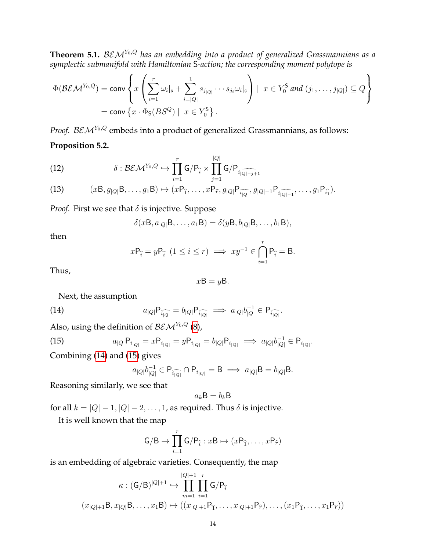<span id="page-13-0"></span>**Theorem 5.1.** BEM<sup>Y</sup>0,Q *has an embedding into a product of generalized Grassmannians as a symplectic submanifold with Hamiltonian* S*-action; the corresponding moment polytope is*

$$
\Phi(\mathcal{BEM}^{Y_0,Q}) = \text{conv}\left\{x\left(\sum_{i=1}^r \omega_i|_{\mathfrak{s}} + \sum_{i=|Q|}^1 s_{j_{|Q|}} \cdots s_{j_i} \omega_i|_{\mathfrak{s}}\right) \mid x \in Y_0^{\mathsf{S}} \text{ and } (j_1,\ldots,j_{|Q|}) \subseteq Q\right\}
$$

$$
= \text{conv}\left\{x \cdot \Phi_{\mathsf{S}}(BS^Q) \mid x \in Y_0^{\mathsf{S}}\right\}.
$$

<span id="page-13-3"></span>*Proof.*  $BEM^{Y_0,Q}$  embeds into a product of generalized Grassmannians, as follows: **Proposition 5.2.**

(12) 
$$
\delta : \mathcal{BEM}^{Y_0,Q} \hookrightarrow \prod_{i=1}^r G/P_{\hat{i}} \times \prod_{j=1}^{|Q|} G/P_{i_{|\widehat{Q}|-j+1}}
$$

(13) 
$$
(xB, g_{|Q|}B, ..., g_1B) \mapsto (xP_{\hat{1}}, ..., xP_{\hat{r}}, g_{|Q|}P_{\widehat{i_{|Q|}}}, g_{|Q|-1}P_{\widehat{i_{|Q|-1}}}, ..., g_1P_{\widehat{i_1}}).
$$

*Proof.* First we see that  $\delta$  is injective. Suppose

$$
\delta(x\mathsf{B},a_{|Q|}\mathsf{B},\ldots,a_1\mathsf{B})=\delta(y\mathsf{B},b_{|Q|}\mathsf{B},\ldots,b_1\mathsf{B}),
$$

then

$$
x\mathsf{P}_{\hat{i}} = y\mathsf{P}_{\hat{i}} \ (1 \leq i \leq r) \implies xy^{-1} \in \bigcap_{i=1}^{r} \mathsf{P}_{\hat{i}} = \mathsf{B}.
$$

Thus,

<span id="page-13-1"></span>
$$
x\mathsf{B}=y\mathsf{B}.
$$

Next, the assumption

(14) 
$$
a_{|Q|}P_{\widehat{i_{|Q|}}} = b_{|Q|}P_{\widehat{i_{|Q|}}} \implies a_{|Q|}b_{|Q|}^{-1} \in P_{\widehat{i_{|Q|}}}.
$$

Also, using the definition of  $\mathcal{BEM}^{Y_0,Q}$  [\(8\)](#page-8-2),

(15) 
$$
a_{|Q|}P_{i_{|Q|}} = xP_{i_{|Q|}} = yP_{i_{|Q|}} = b_{|Q|}P_{i_{|Q|}} \implies a_{|Q|}b_{|Q|}^{-1} \in P_{i_{|Q|}}.
$$

Combining [\(14\)](#page-13-1) and [\(15\)](#page-13-2) gives

<span id="page-13-2"></span>
$$
a_{|Q|}b_{|Q|}^{-1} \in \mathsf{P}_{\widehat{i_{|Q|}}} \cap \mathsf{P}_{i_{|Q|}} = \mathsf{B} \implies a_{|Q|} \mathsf{B} = b_{|Q|} \mathsf{B}.
$$

Reasoning similarly, we see that

$$
a_k B = b_k B
$$

for all  $k = |Q| - 1$ ,  $|Q| - 2$ , ..., 1, as required. Thus  $\delta$  is injective.

It is well known that the map

$$
\mathsf{G/B}\to \prod_{i=1}^r\mathsf{G/P}_{\widehat{i}}:x\mathsf{B}\mapsto (x\mathsf{P}_{\widehat{1}},\ldots,x\mathsf{P}_{\widehat{r}})
$$

is an embedding of algebraic varieties. Consequently, the map

$$
\kappa : (G/B)^{|Q|+1} \hookrightarrow \prod_{m=1}^{|Q|+1} \prod_{i=1}^r G/P_{\hat{i}}
$$

$$
(x_{|Q|+1}B, x_{|Q|}B, \dots, x_1B) \mapsto ((x_{|Q|+1}P_{\hat{1}}, \dots, x_{|Q|+1}P_{\hat{r}}), \dots, (x_1P_{\hat{1}}, \dots, x_1P_{\hat{r}}))
$$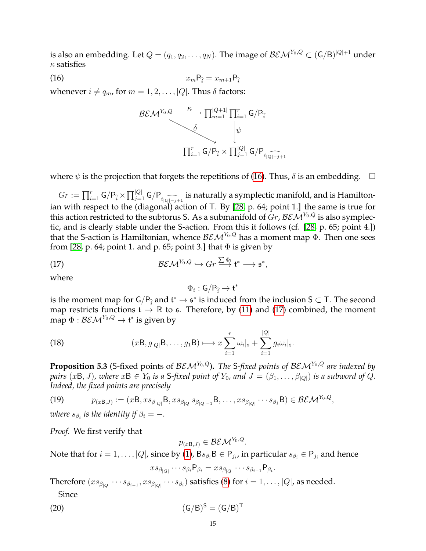is also an embedding. Let  $Q=(q_1,q_2,\ldots,q_N).$  The image of  $\mathcal{BEM}^{Y_0,Q}\subset (\mathsf{G/B})^{|Q|+1}$  under  $\kappa$  satisfies

$$
(16) \t\t\t x_m \mathsf{P}_{\widehat{i}} = x_{m+1} \mathsf{P}_{\widehat{i}}
$$

whenever  $i \neq q_m$ , for  $m = 1, 2, \ldots, |Q|$ . Thus  $\delta$  factors:

<span id="page-14-1"></span>
$$
\begin{array}{ccc}\n\mathcal{B}\mathcal{E}\mathcal{M}^{Y_0,Q} & \xrightarrow{\kappa} \prod_{m=1}^{|Q+1|} \prod_{i=1}^r \mathsf{G}/\mathsf{P}_{\widehat{i}} \\
\downarrow^{\delta} & \downarrow^{\psi} \\
\hline\n\prod_{i=1}^r \mathsf{G}/\mathsf{P}_{\widehat{i}} \times \prod_{j=1}^{|Q|} \mathsf{G}/\mathsf{P}_{i_{|\widehat{Q|-j+1}}}\n\end{array}
$$

where  $\psi$  is the projection that forgets the repetitions of [\(16\)](#page-14-1). Thus,  $\delta$  is an embedding.  $\Box$ 

 $Gr := \prod_{i=1}^r G/P_i \times \prod_{j=1}^{|Q|} G/P_{i \mid \widehat{Q|-j+1}}$  is naturally a symplectic manifold, and is Hamiltonian with respect to the (diagonal) action of T. By [\[28,](#page-24-22) p. 64; point 1.] the same is true for this action restricted to the subtorus S. As a submanifold of  $Gr$ ,  $BEM<sup>Y<sub>0</sub>,Q</sup>$  is also symplectic, and is clearly stable under the S-action. From this it follows (cf. [\[28,](#page-24-22) p. 65; point 4.]) that the S-action is Hamiltonian, whence  $\mathcal{BEM}^{Y_0,Q}$  has a moment map  $\Phi$ . Then one sees from [\[28,](#page-24-22) p. 64; point 1. and p. 65; point 3.] that  $\Phi$  is given by

(17) 
$$
\mathcal{BEM}^{Y_0,Q} \hookrightarrow Gr \overset{\sum \Phi_i}{\longrightarrow} \mathfrak{t}^* \longrightarrow \mathfrak{s}^*,
$$

where

<span id="page-14-4"></span><span id="page-14-2"></span>
$$
\Phi_i:\mathsf{G}/\mathsf{P}_{\widehat{i}}\to\mathfrak{t}^*
$$

is the moment map for  $\mathsf{G}/\mathsf{P}_{\hat{i}}$  and  $\mathsf{t}^* \to \mathsf{s}^*$  is induced from the inclusion  $\mathsf{S} \subset \mathsf{T}$ . The second map restricts functions  $t \to \mathbb{R}$  to s. Therefore, by [\(11\)](#page-12-1) and [\(17\)](#page-14-2) combined, the moment map  $\Phi: \mathcal{BEM}^{Y_0, Q} \rightarrow \mathfrak{t}^*$  is given by

(18) 
$$
(xB, g_{|Q|}B, \ldots, g_1B) \longmapsto x \sum_{i=1}^r \omega_i \vert_{\mathfrak{s}} + \sum_{i=1}^{|Q|} g_i \omega_i \vert_{\mathfrak{s}}.
$$

<span id="page-14-0"></span>**Proposition 5.3** (S-fixed points of  $BEM^{Y_0,Q}$ ). The S-fixed points of  $BEM^{Y_0,Q}$  are indexed by *pairs*  $(xB, J)$ *, where*  $xB \in Y_0$  *is a S-fixed point of*  $Y_0$ *, and*  $J = (\beta_1, \ldots, \beta_{|Q|})$  *is a subword of*  $Q$ *. Indeed, the fixed points are precisely*

(19) 
$$
p_{(x\mathsf{B},J)} := (x\mathsf{B}, xs_{\beta_{|Q|}}\mathsf{B}, xs_{\beta_{|Q|}}s_{\beta_{|Q|-1}}\mathsf{B}, \dots, xs_{\beta_{|Q|}}\cdots s_{\beta_1}\mathsf{B}) \in \mathcal{BEM}^{Y_0,Q},
$$

where  $s_{\beta_i}$  is the identity if  $\beta_i = -.$ 

*Proof.* We first verify that

 $p_{(x \mathsf{B},J)} \in \mathcal{BEM}^{Y_0,Q}.$ 

Note that for  $i=1,\ldots,|Q|$ , since by [\(1\)](#page-2-2),  $\mathsf{B} s_{\beta_i} \mathsf{B}\in \mathsf{P}_{j_i}$ , in particular  $s_{\beta_i}\in \mathsf{P}_{j_i}$  and hence

<span id="page-14-3"></span>
$$
xs_{\beta_{|Q|}}\cdots s_{\beta_i}P_{\beta_i}=xs_{\beta_{|Q|}}\cdots s_{\beta_{i-1}}P_{\beta_i}.
$$

Therefore  $(xs_{\beta_{|Q|}}\cdots s_{\beta_{i-1}}, xs_{\beta_{|Q|}}\cdots s_{\beta_i})$  satisfies [\(8\)](#page-8-2) for  $i=1,\ldots,|Q|$ , as needed. Since

$$
(Q0) \qquad \qquad (G/B)^S = (G/B)^T
$$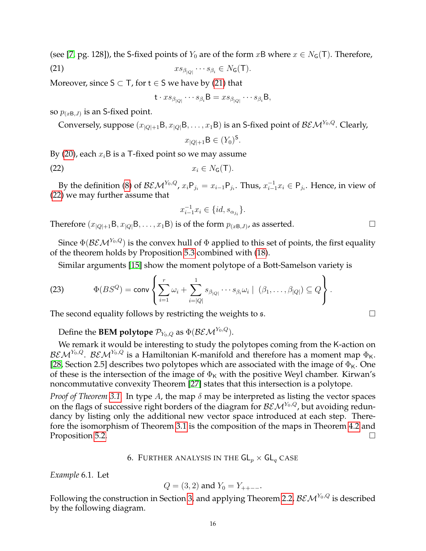(see [\[7,](#page-23-16) pg. 128]), the S-fixed points of  $Y_0$  are of the form  $xB$  where  $x \in N_G(T)$ . Therefore, (21)  $x s_{\beta_{|Q|}} \cdots s_{\beta_i} \in N_G(\mathsf{T}).$ 

Moreover, since  $S \subset T$ , for  $t \in S$  we have by [\(21\)](#page-15-1) that

<span id="page-15-1"></span>
$$
\mathsf{t} \cdot x s_{\beta_{|Q|}} \cdots s_{\beta_i} \mathsf{B} = x s_{\beta_{|Q|}} \cdots s_{\beta_i} \mathsf{B},
$$

so  $p_{(xB,J)}$  is an S-fixed point.

Conversely, suppose  $(x_{|Q|+1}B, x_{|Q|}B, \ldots, x_1B)$  is an S-fixed point of  $\mathcal{BEM}^{Y_0,Q}$ . Clearly,

<span id="page-15-2"></span>
$$
x_{|Q|+1} \mathsf{B} \in (Y_0)^{\mathsf{S}}.
$$

By [\(20\)](#page-14-3), each  $x_i$ B is a T-fixed point so we may assume

$$
(22) \t\t x_i \in N_{\mathsf{G}}(\mathsf{T}).
$$

By the definition [\(8\)](#page-8-2) of  $\mathcal{BEM}^{Y_0,Q}$ ,  $x_i P_{j_i} = x_{i-1} P_{j_i}$ . Thus,  $x_{i-1}^{-1} x_i \in P_{j_i}$ . Hence, in view of [\(22\)](#page-15-2) we may further assume that

$$
x_{i-1}^{-1}x_i \in \{id, s_{\alpha_{j_i}}\}.
$$

Therefore  $(x_{|Q|+1}B, x_{|Q|}B, \ldots, x_1B)$  is of the form  $p_{(xB,J)}$ , as asserted.

Since  $\Phi(\mathcal{BEM}^{Y_0,Q})$  is the convex hull of  $\Phi$  applied to this set of points, the first equality of the theorem holds by Proposition [5.3](#page-14-0) combined with [\(18\)](#page-14-4).

<span id="page-15-3"></span>Similar arguments [\[15\]](#page-23-12) show the moment polytope of a Bott-Samelson variety is

(23) 
$$
\Phi(BS^{Q}) = \text{conv}\left\{\sum_{i=1}^{r} \omega_{i} + \sum_{i=|Q|}^{1} s_{\beta_{|Q|}} \cdots s_{\beta_{i}} \omega_{i} \mid (\beta_{1}, \ldots, \beta_{|Q|}) \subseteq Q\right\}.
$$

The second equality follows by restricting the weights to s.  $\Box$ 

Define the **BEM polytope**  $\mathcal{P}_{Y_0,Q}$  as  $\Phi(\mathcal{BEM}^{Y_0,Q})$ .

We remark it would be interesting to study the polytopes coming from the K-action on  $\mathcal{BEM}^{Y_0,Q}$ .  $\mathcal{BEM}^{Y_0,Q}$  is a Hamiltonian K-manifold and therefore has a moment map  $\Phi_{\mathsf{K}}.$ [\[28,](#page-24-22) Section 2.5] describes two polytopes which are associated with the image of  $\Phi_{\rm K}$ . One of these is the intersection of the image of  $\Phi_K$  with the positive Weyl chamber. Kirwan's noncommutative convexity Theorem [\[27\]](#page-24-24) states that this intersection is a polytope.

*Proof of Theorem [3.1.](#page-5-0)* In type A, the map δ may be interpreted as listing the vector spaces on the flags of successive right borders of the diagram for  $BEM^{Y_0,Q}$ , but avoiding redundancy by listing only the additional new vector space introduced at each step. Therefore the isomorphism of Theorem [3.1](#page-5-0) is the composition of the maps in Theorem [4.2](#page-8-0) and Proposition [5.2.](#page-13-3) □

## 6. FURTHER ANALYSIS IN THE  $GL_p \times GL_q$  CASE

<span id="page-15-4"></span><span id="page-15-0"></span>*Example* 6.1*.* Let

$$
Q = (3, 2)
$$
 and  $Y_0 = Y_{++--}$ .

Following the construction in Section [3,](#page-4-0) and applying Theorem [2.2,](#page-3-1)  $BEM^{Y_0,Q}$  is described by the following diagram.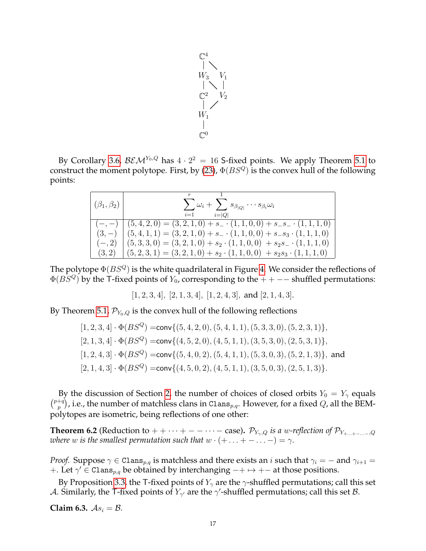

By Corollary [3.6,](#page-6-4)  $\mathcal{BEM}^{Y_0,Q}$  has  $4 \cdot 2^2 = 16$  S-fixed points. We apply Theorem [5.1](#page-13-0) to construct the moment polytope. First, by [\(23\)](#page-15-3),  $\Phi(BS^Q)$  is the convex hull of the following points:

| $(\beta_1,\beta_2)$ | $\sum \omega_i + \sum s_{\beta Q } \cdots s_{\beta_i} \omega_i$<br>$i=1$<br>$i= Q $ |
|---------------------|-------------------------------------------------------------------------------------|
|                     | $(-,-)$ $(5,4,2,0) = (3,2,1,0) + s_-(1,1,0,0) + s_-s_-(1,1,1,0)$                    |
|                     | $(3,-)$ $(5,4,1,1) = (3,2,1,0) + s$ $(1,1,0,0) + s$ $(s_3 \cdot (1,1,1,0))$         |
| $(-, 2)$            | $(5,3,3,0) = (3,2,1,0) + s_2 \cdot (1,1,0,0) + s_2 s_-\cdot (1,1,1,0)$              |
| (3,2)               | $(5,2,3,1) = (3,2,1,0) + s_2 \cdot (1,1,0,0) + s_2 s_3 \cdot (1,1,1,0)$             |

The polytope  $\Phi(BS^Q)$  is the white quadrilateral in Figure [4.](#page-17-1) We consider the reflections of  $\Phi(BS^Q)$  by the T-fixed points of  $Y_0$ , corresponding to the  $++--$  shuffled permutations:

 $[1, 2, 3, 4]$ ,  $[2, 1, 3, 4]$ ,  $[1, 2, 4, 3]$ , and  $[2, 1, 4, 3]$ .

By Theorem [5.1,](#page-13-0)  $\mathcal{P}_{Y_0,Q}$  is the convex hull of the following reflections

 $[1, 2, 3, 4] \cdot \Phi(BS^Q) = \text{conv}\{(5, 4, 2, 0), (5, 4, 1, 1), (5, 3, 3, 0), (5, 2, 3, 1)\},\$  $[2, 1, 3, 4] \cdot \Phi(BS^Q) = \text{conv}\{(4, 5, 2, 0), (4, 5, 1, 1), (3, 5, 3, 0), (2, 5, 3, 1)\},\$  $[1, 2, 4, 3] \cdot \Phi(BS^Q) = \text{conv}\{(5, 4, 0, 2), (5, 4, 1, 1), (5, 3, 0, 3), (5, 2, 1, 3)\},$  and  $[2, 1, 4, 3] \cdot \Phi(BS^Q) = \text{conv}\{(4, 5, 0, 2), (4, 5, 1, 1), (3, 5, 0, 3), (2, 5, 1, 3)\}.$ 

By the discussion of Section [2,](#page-2-0) the number of choices of closed orbits  $Y_0 = Y_\gamma$  equals  $\binom{p+q}{p}$  $\mathcal{P}_p^{+q})$ , i.e., the number of matchless clans in C1ans $_{p,q}.$  However, for a fixed  $Q$ , all the BEMpolytopes are isometric, being reflections of one other:

<span id="page-16-0"></span>**Theorem 6.2** (Reduction to + +  $\cdots$  + −  $\cdots$  − case).  $\mathcal{P}_{Y_{\gamma},Q}$  *is a* w-reflection of  $\mathcal{P}_{Y_{+\dots+\gamma}}$ *where w is the smallest permutation such that*  $w \cdot (+ \dots + - \dots -) = \gamma$ *.* 

*Proof.* Suppose  $\gamma \in \text{Clans}_{p,q}$  is matchless and there exists an i such that  $\gamma_i = -$  and  $\gamma_{i+1} =$ +. Let  $\gamma'$  ∈ Clans<sub>p,q</sub> be obtained by interchanging  $-+ \mapsto +-$  at those positions.

By Proposition [3.3,](#page-6-1) the T-fixed points of  $Y_{\gamma}$  are the  $\gamma$ -shuffled permutations; call this set A. Similarly, the T-fixed points of  $Y_{\gamma'}$  are the  $\gamma'$ -shuffled permutations; call this set B.

<span id="page-16-1"></span>**Claim 6.3.**  $As_i = B$ .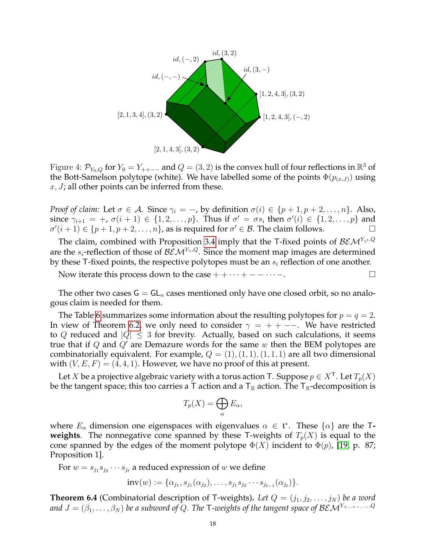<span id="page-17-1"></span>

Figure 4:  $\mathcal{P}_{Y_0,Q}$  for  $Y_0 = Y_{++--}$  and  $Q = (3,2)$  is the convex hull of four reflections in  $\mathbb{R}^3$  of the Bott-Samelson polytope (white). We have labelled some of the points  $\Phi(p_{(x,J)})$  using  $x, J$ ; all other points can be inferred from these.

*Proof of claim:* Let  $\sigma \in A$ . Since  $\gamma_i = -$ , by definition  $\sigma(i) \in \{p+1, p+2, \ldots, n\}$ . Also, since  $\gamma_{i+1} = +$ ,  $\sigma(i+1) \in \{1, 2, ..., p\}$ . Thus if  $\sigma' = \sigma s_i$  then  $\sigma'(i) \in \{1, 2, ..., p\}$  and  $\sigma'(i+1) \in \{p+1, p+2, \ldots, n\}$ , as is required for  $\sigma' \in \mathcal{B}$ . The claim follows.

The claim, combined with Proposition [3.4](#page-6-3) imply that the T-fixed points of  $\mathcal{BEM}^{Y_{\gamma'},Q}$ are the  $s_i$ -reflection of those of  $\mathcal{BEM}^{Y_{\gamma},Q}$ . Since the moment map images are determined by these T-fixed points, the respective polytopes must be an  $s_i$  reflection of one another.

Now iterate this process down to the case  $+ + \cdots + - - \cdots -$ .

The other two cases  $G = GL_n$  cases mentioned only have one closed orbit, so no analogous claim is needed for them.

The Table [6](#page-16-1) summarizes some information about the resulting polytopes for  $p = q = 2$ . In view of Theorem [6.2,](#page-16-0) we only need to consider  $\gamma = + - -$ . We have restricted to Q reduced and  $|Q| \leq 3$  for brevity. Actually, based on such calculations, it seems true that if  $Q$  and  $Q'$  are Demazure words for the same  $w$  then the BEM polytopes are combinatorially equivalent. For example,  $Q = (1), (1, 1), (1, 1, 1)$  are all two dimensional with  $(V, E, F) = (4, 4, 1)$ . However, we have no proof of this at present.

Let X be a projective algebraic variety with a torus action T. Suppose  $p \in X^{\mathsf{T}}.$  Let  $T_p(X)$ be the tangent space; this too carries a T action and a  $T_{\mathbb{R}}$  action. The  $T_{\mathbb{R}}$ -decomposition is

$$
T_p(X) = \bigoplus_{\alpha} E_{\alpha},
$$

where  $E_{\alpha}$  dimension one eigenspaces with eigenvalues  $\alpha \in \mathfrak{t}^*$ . These  $\{\alpha\}$  are the T**weights**. The nonnegative cone spanned by these T-weights of  $T_p(X)$  is equal to the cone spanned by the edges of the moment polytope  $\Phi(X)$  incident to  $\Phi(p)$ , [\[19,](#page-23-23) p. 87; Proposition 1].

For  $w = s_{j_1} s_{j_2} \cdots s_{j_\ell}$  a reduced expression of w we define

$$
inv(w) := {\alpha_{j_1, s_{j_1}(\alpha_{j_2}), \ldots, s_{j_1} s_{j_2} \cdots s_{j_{\ell-1}}(\alpha_{j_\ell})}.
$$

<span id="page-17-0"></span>**Theorem 6.4** (Combinatorial description of T-weights). Let  $Q = (j_1, j_2, \ldots, j_N)$  be a word *and*  $J = (\beta_1, \ldots, \beta_N)$  *be a subword of Q. The* T-weights of the tangent space of  $BEM^{Y_{+...+--...-},Q}$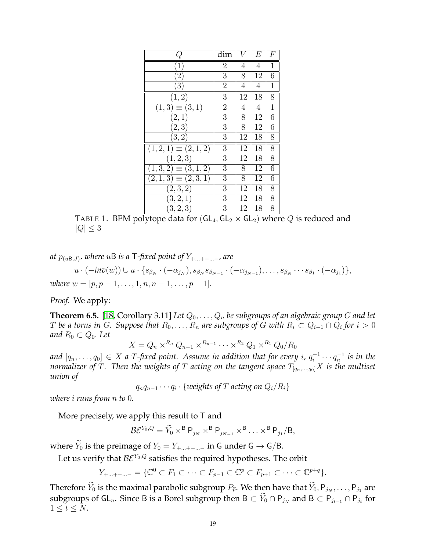| Q                        | dim            | V              | E  | F           |
|--------------------------|----------------|----------------|----|-------------|
| $\cdot \mathbf{1}$       | $\overline{2}$ | 4              | 4  | 1           |
| $\overline{2}$           | 3              | 8              | 12 | 6           |
| $\bar{3}$                | $\overline{2}$ | 4              | 4  | 1           |
| [1, 2]                   | 3              | 12             | 18 | 8           |
| $(1,3) \equiv (3,1)$     | $\overline{2}$ | $\overline{4}$ | 4  | $\mathbf 1$ |
| (2,1)                    | $\overline{3}$ | 8              | 12 | 6           |
| $(\overline{2},3)$       | 3              | 8              | 12 | 6           |
| $\overline{(3,2)}$       | 3              | 12             | 18 | 8           |
| $(1,2,1) \equiv (2,1,2)$ | 3              | 12             | 18 | 8           |
| (1, 2, 3)                | 3              | 12             | 18 | 8           |
| $(1,3,2) \equiv (3,1,2)$ | 3              | 8              | 12 | 6           |
| $(2,1,3) \equiv (2,3,1)$ | 3              | 8              | 12 | 6           |
| (2,3,2)                  | 3              | 12             | 18 | 8           |
| (3, 2, 1)                | 3              | 12             | 18 | 8           |
| (3, 2, 3)                | 3              | 12             | 18 | 8           |

TABLE 1. BEM polytope data for  $(GL_4, GL_2 \times GL_2)$  where Q is reduced and  $|Q| \leq 3$ 

*at* p(uB,J) *, where* uB *is a* T*-fixed point of* Y+...+−...<sup>−</sup>*, are*

 $u\cdot(-inv(w))\cup u\cdot\{s_{\beta_N}\cdot(-\alpha_{j_N}),s_{\beta_N}s_{\beta_{N-1}}\cdot(-\alpha_{j_{N-1}}),\ldots,s_{\beta_N}\cdots s_{\beta_1}\cdot(-\alpha_{j_1})\},$ *where*  $w = [p, p - 1, \ldots, 1, n, n - 1, \ldots, p + 1]$ *.* 

*Proof.* We apply:

<span id="page-18-0"></span>**Theorem 6.5.** [\[18,](#page-23-24) Corollary 3.11] Let  $Q_0, \ldots, Q_n$  be subgroups of an algebraic group G and let  $T$  be a torus in  $G$ . Suppose that  $R_0, \ldots, R_n$  are subgroups of  $G$  with  $R_i \subset Q_{i-1} \cap Q_i$  for  $i > 0$ *and*  $R_0 \subset Q_0$ *. Let* 

 $X=Q_n\times^{R_n}Q_{n-1}\times^{R_{n-1}}\cdots\times^{R_2}Q_1\times^{R_1}Q_0/R_0$ 

and  $[q_n, \ldots, q_0] \, \in \, X$  a  $T$ -fixed point. Assume in addition that for every  $i$ ,  $q_i^{-1}$  $q^{-1}_i \cdots q^{-1}_n$  is in the *normalizer of T*. *Then the weights of T acting on the tangent space*  $T_{[q_n,...,q_0]}X$  *is the multiset union of*

qnqn−<sup>1</sup> · · · q<sup>i</sup> · {*weights of* T *acting on* Qi/Ri}

*where* i *runs from* n *to* 0*.*

More precisely, we apply this result to  $\mathsf T$  and

$$
\mathcal{B}\mathcal{E}^{Y_0,Q}=\widetilde{Y}_0\times^{\mathsf{B}}\mathsf{P}_{j_N}\times^{\mathsf{B}}\mathsf{P}_{j_{N-1}}\times^{\mathsf{B}}\ldots\times^{\mathsf{B}}\mathsf{P}_{j_1}/\mathsf{B},
$$

where  $\tilde{Y}_0$  is the preimage of  $Y_0 = Y_{+...+}-$  in G under G  $\rightarrow$  G/B.

Let us verify that  $BE^{Y_0,Q}$  satisfies the required hypotheses. The orbit

$$
Y_{+...+---} = \{ \mathbb{C}^0 \subset F_1 \subset \cdots \subset F_{p-1} \subset \mathbb{C}^p \subset F_{p+1} \subset \cdots \subset \mathbb{C}^{p+q} \}.
$$

Therefore  $Y_0$  is the maximal parabolic subgroup  $P_{\hat{p}}$ . We then have that  $Y_0, P_{j_N}, \ldots, P_{j_1}$  are subgroups of GL<sub>n</sub>. Since B is a Borel subgroup then B  $\subset Y_0 \cap P_{j_N}$  and B  $\subset P_{j_{t-1}} \cap P_{j_t}$  for  $1 \leq t \leq N$ .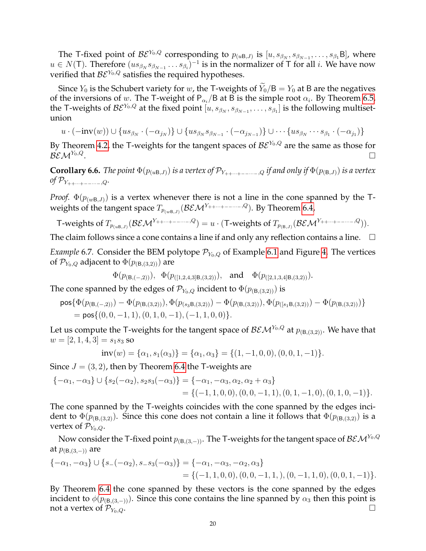The T-fixed point of  $\mathcal{BE}^{Y_0,Q}$  corresponding to  $p_{(uB,J)}$  is  $[u,s_{\beta_N},s_{\beta_{N-1}},\ldots,s_{\beta_1}B]$ , where  $u \in N(T)$ . Therefore  $(us_{\beta_N}s_{\beta_{N-1}}\ldots s_{\beta_i})^{-1}$  is in the normalizer of T for all i. We have now verified that  $BE^{Y_0,Q}$  satisfies the required hypotheses.

Since  $Y_0$  is the Schubert variety for w, the T-weights of  $\dot{Y_0}/B = Y_0$  at B are the negatives of the inversions of  $w.$  The T-weight of P $_{\alpha_{i}}/$ B at B is the simple root  $\alpha_{i}.$  By Theorem [6.5,](#page-18-0) the T-weights of  $\mathcal{BE}^{Y_0,Q}$  at the fixed point  $[u,s_{\beta_N},s_{\beta_{N-1}},\ldots,s_{\beta_1}]$  is the following multisetunion

$$
u\cdot(-\text{inv}(w))\cup \{us_{\beta_N}\cdot(-\alpha_{j_N})\}\cup \{us_{\beta_N}s_{\beta_{N-1}}\cdot(-\alpha_{j_{N-1}})\}\cup \cdots \{us_{\beta_N}\cdots s_{\beta_1}\cdot(-\alpha_{j_1})\}
$$

By Theorem [4.2,](#page-8-0) the T-weights for the tangent spaces of  $BE^{Y_0,Q}$  are the same as those for  $BEM^{Y_0,Q}$ . . В последните поставите на селото на селото на селото на селото на селото на селото на селото на селото на се<br>Селото на селото на селото на селото на селото на селото на селото на селото на селото на селото на селото на

<span id="page-19-0"></span>**Corollary 6.6.** *The point*  $\Phi(p_{(uB,J)})$  *is a vertex of*  $\mathcal{P}_{Y_{++\cdots+}}$ <sub> $-$ </sub> *if and only if*  $\Phi(p_{(B,J)})$  *is a vertex*  $of$   $\mathcal{P}_{Y_{++\cdots+--\cdots-,Q}}$ .

*Proof.*  $\Phi(p_{(wB,J)})$  is a vertex whenever there is not a line in the cone spanned by the Tweights of the tangent space  $T_{p_{(w\mathsf{B},J)}}(\mathcal{BEM}^{Y_{++\cdots+--\cdots-,Q}}).$  By Theorem [6.4,](#page-17-0)

T-weights of 
$$
T_{p_{(uB,J)}}(\mathcal{BEM}^{Y_{++\cdots+--\cdots-},Q}) = u \cdot (T\text{-weights of }T_{p_{(B,J)}}(\mathcal{BEM}^{Y_{++\cdots+--\cdots-},Q})).
$$

The claim follows since a cone contains a line if and only any reflection contains a line.  $\Box$ 

*Example* 6.7. Consider the BEM polytope  $\mathcal{P}_{Y_0,Q}$  of Example [6.1](#page-15-4) and Figure [4.](#page-17-1) The vertices of  $\mathcal{P}_{Y_0,Q}$  adjacent to  $\Phi(p_{(B,(3,2))})$  are

$$
\Phi(p_{(\mathsf{B},(-,2))}), \Phi(p_{([1,2,4,3]\mathsf{B},(3,2))}), \text{ and } \Phi(p_{([2,1,3,4]\mathsf{B},(3,2))}).
$$

The cone spanned by the edges of  $\mathcal{P}_{Y_0,Q}$  incident to  $\Phi(p_{(\mathsf{B},(3,2))})$  is

$$
\mathsf{pos}\{\Phi(p_{(\mathsf{B},(-,2))})-\Phi(p_{(\mathsf{B},(3,2))}),\Phi(p_{(s_3\mathsf{B},(3,2))})-\Phi(p_{(\mathsf{B},(3,2))}),\Phi(p_{([s_1\mathsf{B},(3,2))})-\Phi(p_{(\mathsf{B},(3,2))})\}
$$
  
=  $\mathsf{pos}\{(0,0,-1,1),(0,1,0,-1),(-1,1,0,0)\}.$ 

Let us compute the T-weights for the tangent space of  $\mathcal{BEM}^{Y_0,Q}$  at  $p_{(B,(3,2))}$ . We have that  $w = [2, 1, 4, 3] = s_1 s_3$  so

$$
inv(w) = {\alpha_1, s_1(\alpha_3)} = {\alpha_1, \alpha_3} = {(1, -1, 0, 0), (0, 0, 1, -1)}.
$$

Since  $J = (3, 2)$ , then by Theorem [6.4](#page-17-0) the T-weights are

$$
\begin{aligned} \{-\alpha_1, -\alpha_3\} \cup \{s_2(-\alpha_2), s_2s_3(-\alpha_3)\} &= \{-\alpha_1, -\alpha_3, \alpha_2, \alpha_2 + \alpha_3\} \\ &= \{(-1, 1, 0, 0), (0, 0, -1, 1), (0, 1, -1, 0), (0, 1, 0, -1)\}. \end{aligned}
$$

The cone spanned by the T-weights coincides with the cone spanned by the edges incident to  $\Phi(p_{(B,(3,2)})$ . Since this cone does not contain a line it follows that  $\Phi(p_{(B,(3,2)})$  is a vertex of  $\mathcal{P}_{Y_0,Q}$ .

Now consider the T-fixed point  $p_{(B,(3,-))}$ . The T-weights for the tangent space of  $\mathcal{BEM}^{Y_0,Q}$ at  $p_{(B,(3,-))}$  are

$$
\begin{aligned} \{-\alpha_1, -\alpha_3\} \cup \{s_-(-\alpha_2), s_-s_3(-\alpha_3)\} &= \{-\alpha_1, -\alpha_3, -\alpha_2, \alpha_3\} \\ &= \{(-1, 1, 0, 0), (0, 0, -1, 1, 0), (0, -1, 1, 0), (0, 0, 1, -1)\}. \end{aligned}
$$

By Theorem [6.4](#page-17-0) the cone spanned by these vectors is the cone spanned by the edges incident to  $\phi(p_{(B,(3,-))})$ . Since this cone contains the line spanned by  $\alpha_3$  then this point is not a vertex of  $\mathcal{P}_{Y_0,Q}$ .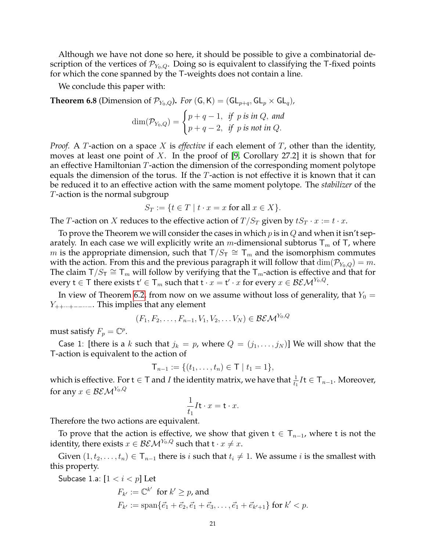Although we have not done so here, it should be possible to give a combinatorial description of the vertices of  $\mathcal{P}_{Y_0,Q}$ . Doing so is equivalent to classifying the T-fixed points for which the cone spanned by the T-weights does not contain a line.

We conclude this paper with:

<span id="page-20-0"></span>**Theorem 6.8** (Dimension of  $\mathcal{P}_{Y_0,Q}$ ). *For* (G, K) = (GL<sub>p+q</sub>, GL<sub>p</sub> × GL<sub>q</sub>),

$$
\dim(\mathcal{P}_{Y_0,Q}) = \begin{cases} p+q-1, & \text{if } p \text{ is in } Q, \text{ and} \\ p+q-2, & \text{if } p \text{ is not in } Q. \end{cases}
$$

*Proof.* A T-action on a space X is *effective* if each element of T, other than the identity, moves at least one point of X. In the proof of [\[9,](#page-23-25) Corollary 27.2] it is shown that for an effective Hamiltonian T-action the dimension of the corresponding moment polytope equals the dimension of the torus. If the  $T$ -action is not effective it is known that it can be reduced it to an effective action with the same moment polytope. The *stabilizer* of the T-action is the normal subgroup

$$
S_T := \{ t \in T \mid t \cdot x = x \text{ for all } x \in X \}.
$$

The *T*-action on *X* reduces to the effective action of  $T/S_T$  given by  $tS_T \cdot x := t \cdot x$ .

To prove the Theorem we will consider the cases in which  $p$  is in  $Q$  and when it isn't separately. In each case we will explicitly write an m-dimensional subtorus  $T_m$  of T, where m is the appropriate dimension, such that  $T/S_T \cong T_m$  and the isomorphism commutes with the action. From this and the previous paragraph it will follow that  $\dim(\mathcal{P}_{Y_0,Q}) = m$ . The claim  $T/S_T \cong T_m$  will follow by verifying that the  $T_m$ -action is effective and that for every  $t \in \mathsf{T}$  there exists  $\mathsf{t}' \in \mathsf{T}_m$  such that  $\mathsf{t} \cdot x = \mathsf{t}' \cdot x$  for every  $x \in \mathcal{BEM}^{Y_0,Q}.$ 

In view of Theorem [6.2,](#page-16-0) from now on we assume without loss of generality, that  $Y_0 =$  $Y_{++\cdots+--\cdots-}$ . This implies that any element

$$
(F_1, F_2, \ldots, F_{n-1}, V_1, V_2, \ldots V_N) \in \mathcal{BEM}^{Y_0, Q}
$$

must satisfy  $F_p = \mathbb{C}^p$ .

Case 1: [there is a k such that  $j_k = p$ , where  $Q = (j_1, \ldots, j_N)$ ] We will show that the T-action is equivalent to the action of

$$
\mathsf{T}_{n-1} := \{ (t_1, \ldots, t_n) \in \mathsf{T} \mid t_1 = 1 \},\
$$

which is effective. For  $t \in T$  and  $I$  the identity matrix, we have that  $\frac{1}{t_1}I$ t $\in T_{n-1}$ . Moreover, for any  $x \in \mathcal{BEM}^{Y_0, Q}$ 

$$
\frac{1}{t_1}I\mathbf{t} \cdot x = \mathbf{t} \cdot x.
$$

Therefore the two actions are equivalent.

To prove that the action is effective, we show that given  $t \in T_{n-1}$ , where t is not the identity, there exists  $x \in \mathcal{BEM}^{Y_0,Q}$  such that  $t \cdot x \neq x$ .

Given  $(1, t_2, \ldots, t_n) \in T_{n-1}$  there is i such that  $t_i \neq 1$ . We assume i is the smallest with this property.

Subcase 1.a:  $[1 < i < p]$  Let  $F_{k'} := \mathbb{C}^{k'}$  for  $k' \geq p$ , and  $F_{k'} := \text{span}\{\vec{e}_1 + \vec{e}_2, \vec{e}_1 + \vec{e}_3, \dots, \vec{e}_1 + \vec{e}_{k'+1}\}\text{ for }k' < p.$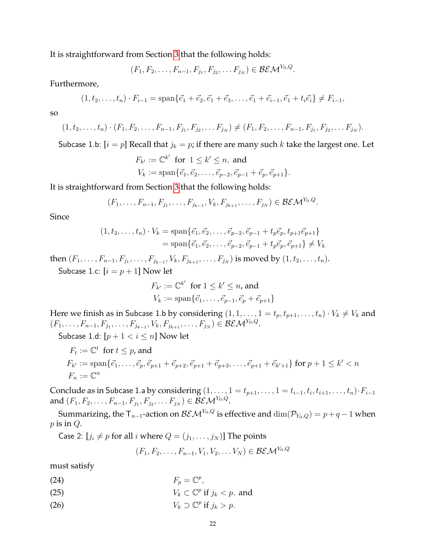It is straightforward from Section [3](#page-4-0) that the following holds:

$$
(F_1, F_2, \ldots, F_{n-1}, F_{j_1}, F_{j_2}, \ldots F_{j_N}) \in \mathcal{BEM}^{Y_0, Q}.
$$

Furthermore,

$$
(1, t_2, \ldots, t_n) \cdot F_{i-1} = \text{span}\{\vec{e}_1 + \vec{e}_2, \vec{e}_1 + \vec{e}_3, \ldots, \vec{e}_1 + \vec{e}_{i-1}, \vec{e}_1 + t_i \vec{e}_i\} \neq F_{i-1},
$$

so

$$
(1, t_2, \ldots, t_n) \cdot (F_1, F_2, \ldots, F_{n-1}, F_{j_1}, F_{j_2}, \ldots F_{j_N}) \neq (F_1, F_2, \ldots, F_{n-1}, F_{j_1}, F_{j_2}, \ldots F_{j_N}).
$$

Subcase 1.b:  $[i = p]$  Recall that  $j_k = p$ ; if there are many such k take the largest one. Let

$$
F_{k'} := \mathbb{C}^{k'} \text{ for } 1 \le k' \le n, \text{ and}
$$
  

$$
V_k := \text{span}\{\vec{e}_1, \vec{e}_2, \dots, \vec{e}_{p-2}, \vec{e}_{p-1} + \vec{e}_p, \vec{e}_{p+1}\}.
$$

It is straightforward from Section [3](#page-4-0) that the following holds:

$$
(F_1, \ldots, F_{n-1}, F_{j_1}, \ldots, F_{j_{k-1}}, V_k, F_{j_{k+1}}, \ldots, F_{j_N}) \in \mathcal{BEM}^{Y_0, Q}.
$$

Since

$$
(1, t_2, \dots, t_n) \cdot V_k = \text{span}\{\vec{e}_1, \vec{e}_2, \dots, \vec{e}_{p-2}, \vec{e}_{p-1} + t_p \vec{e}_p, t_{p+1} \vec{e}_{p+1}\}
$$
  
= span $\{\vec{e}_1, \vec{e}_2, \dots, \vec{e}_{p-2}, \vec{e}_{p-1} + t_p \vec{e}_p, \vec{e}_{p+1}\} \neq V_k$ 

then  $(F_1, \ldots, F_{n-1}, F_{j_1}, \ldots, F_{j_{k-1}}, V_k, F_{j_{k+1}}, \ldots, F_{j_N})$  is moved by  $(1, t_2, \ldots, t_n)$ .

Subcase 1.c:  $[i = p + 1]$  Now let

$$
F_{k'} := \mathbb{C}^{k'}
$$
 for  $1 \le k' \le n$ , and  
\n $V_k := \text{span}\{\vec{e}_1, \dots, \vec{e}_{p-1}, \vec{e}_p + \vec{e}_{p+1}\}$ 

Here we finish as in Subcase 1.b by considering  $(1, 1, \ldots, 1 = t_p, t_{p+1}, \ldots, t_n) \cdot V_k \neq V_k$  and  $(F_1, \ldots, F_{n-1}, F_{j_1}, \ldots, F_{j_{k-1}}, V_k, F_{j_{k+1}}, \ldots, F_{j_N}) \in \mathcal{BEM}^{Y_0, Q}.$ 

Subcase 1.d:  $[p + 1 < i \leq n]$  Now let

$$
F_t := \mathbb{C}^t \text{ for } t \le p, \text{ and}
$$
  
\n
$$
F_{k'} := \text{span}\{\vec{e}_1, \dots, \vec{e}_p, \vec{e}_{p+1} + \vec{e}_{p+2}, \vec{e}_{p+1} + \vec{e}_{p+3}, \dots, \vec{e}_{p+1} + \vec{e}_{k'+1}\} \text{ for } p+1 \le k' < n
$$
  
\n
$$
F_n := \mathbb{C}^n
$$

Conclude as in Subcase 1.a by considering  $(1,\ldots,1=t_{p+1},\ldots,1=t_{i-1},t_i,t_{i+1},\ldots,t_n)\cdot F_{i-1}$ and  $(F_1, F_2, \ldots, F_{n-1}, F_{j_1}, F_{j_2}, \ldots F_{j_N}) \in \mathcal{BEM}^{Y_0, Q}$ .

Summarizing, the  $T_{n-1}$ -action on  $\mathcal{BEM}^{Y_0,Q}$  is effective and  $\dim(\mathcal{P}_{Y_0,Q}) = p+q-1$  when  $p$  is in  $Q$ .

Case 2:  $[j_i \neq p$  for all *i* where  $Q = (j_1, \ldots, j_N)$ ] The points

$$
(F_1, F_2, \ldots, F_{n-1}, V_1, V_2, \ldots V_N) \in \mathcal{BEM}^{Y_0, Q}
$$

must satisfy

- <span id="page-21-0"></span>(24)  $F_p = \mathbb{C}^p$ ,
- (25)  $V_k \subset \mathbb{C}^p$  if  $j_k < p$ , and
- <span id="page-21-1"></span>(26)  $V_k \supset \mathbb{C}^p$  if  $j_k > p$ .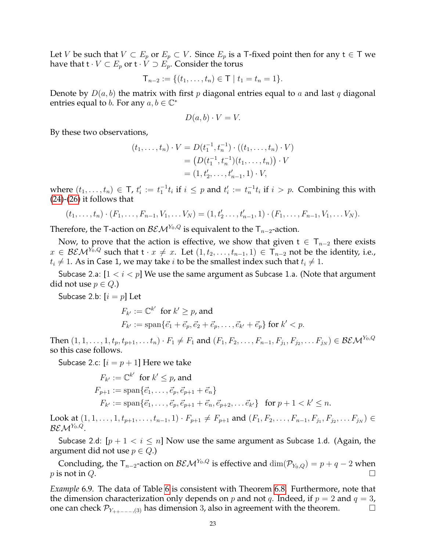Let V be such that  $V \subset E_p$  or  $E_p \subset V$ . Since  $E_p$  is a T-fixed point then for any  $t \in T$  we have that  $t \cdot V \subset E_p$  or  $t \cdot V \supset E_p$ . Consider the torus

$$
\mathsf{T}_{n-2} := \{ (t_1, \ldots, t_n) \in \mathsf{T} \mid t_1 = t_n = 1 \}.
$$

Denote by  $D(a, b)$  the matrix with first p diagonal entries equal to a and last q diagonal entries equal to *b*. For any  $a, b \in \mathbb{C}^*$ 

$$
D(a, b) \cdot V = V.
$$

By these two observations,

$$
(t_1, \ldots, t_n) \cdot V = D(t_1^{-1}, t_n^{-1}) \cdot ((t_1, \ldots, t_n) \cdot V)
$$
  
=  $(D(t_1^{-1}, t_n^{-1})(t_1, \ldots, t_n)) \cdot V$   
=  $(1, t'_2, \ldots, t'_{n-1}, 1) \cdot V$ ,

where  $(t_1,\ldots,t_n) \in \mathsf{T}$ ,  $t'_i := t_1^{-1}t_i$  if  $i \leq p$  and  $t'_i := t_n^{-1}t_i$  if  $i > p$ . Combining this with [\(24\)](#page-21-0)-[\(26\)](#page-21-1) it follows that

$$
(t_1,\ldots,t_n)\cdot (F_1,\ldots,F_{n-1},V_1,\ldots V_N)=(1,t'_2\ldots,t'_{n-1},1)\cdot (F_1,\ldots,F_{n-1},V_1,\ldots V_N).
$$

Therefore, the T-action on  $\mathcal{BEM}^{Y_0,Q}$  is equivalent to the  $T_{n-2}$ -action.

Now, to prove that the action is effective, we show that given  $t \in T_{n-2}$  there exists  $x \in \mathcal{BEM}^{\hat{Y_0},Q}$  such that  $t \cdot x \neq x$ . Let  $(1, t_2, \ldots, t_{n-1}, 1) \in T_{n-2}$  not be the identity, i.e.,  $t_i \neq 1$ . As in Case 1, we may take *i* to be the smallest index such that  $t_i \neq 1$ .

Subcase 2.a:  $[1 < i < p]$  We use the same argument as Subcase 1.a. (Note that argument did not use  $p \in Q$ .)

Subcase 2.b:  $[i = p]$  Let

$$
F_{k'} := \mathbb{C}^{k'} \text{ for } k' \ge p \text{, and}
$$
  

$$
F_{k'} := \text{span}\{\vec{e_1} + \vec{e_p}, \vec{e_2} + \vec{e_p}, \dots, \vec{e_{k'}} + \vec{e_p}\} \text{ for } k' < p.
$$

Then  $(1, 1, \ldots, 1, t_p, t_{p+1}, \ldots t_n) \cdot F_1 \neq F_1$  and  $(F_1, F_2, \ldots, F_{n-1}, F_{j_1}, F_{j_2}, \ldots F_{j_N}) \in \mathcal{BEM}^{Y_0, Q}$ so this case follows.

Subcase 2.c:  $[i = p + 1]$  Here we take

$$
F_{k'} := \mathbb{C}^{k'} \text{ for } k' \le p \text{, and}
$$
  
\n
$$
F_{p+1} := \text{span}\{\vec{e_1}, \dots, \vec{e_p}, \vec{e_{p+1}} + \vec{e_n}\}
$$
  
\n
$$
F_{k'} := \text{span}\{\vec{e_1}, \dots, \vec{e_p}, \vec{e_{p+1}} + \vec{e_n}, \vec{e_{p+2}}, \dots \vec{e_{k'}}\} \text{ for } p+1 < k' \le n.
$$

Look at  $(1, 1, \ldots, 1, t_{p+1}, \ldots, t_{n-1}, 1) \cdot F_{p+1} \neq F_{p+1}$  and  $(F_1, F_2, \ldots, F_{n-1}, F_{j_1}, F_{j_2}, \ldots F_{j_N}) \in$  $\mathcal{BEM}^{Y_0, Q}.$ 

Subcase 2.d:  $[p + 1 < i \leq n]$  Now use the same argument as Subcase 1.d. (Again, the argument did not use  $p \in Q$ .)

Concluding, the T<sub>n−2</sub>-action on  $\mathcal{BEM}^{Y_0,Q}$  is effective and  $\dim(\mathcal{P}_{Y_0,Q}) = p+q-2$  when p is not in Q.

*Example* 6.9*.* The data of Table [6](#page-16-1) is consistent with Theorem [6.8.](#page-20-0) Furthermore, note that the dimension characterization only depends on p and not q. Indeed, if  $p = 2$  and  $q = 3$ , one can check  $\mathcal{P}_{Y_{++---},(3)}$  has dimension 3, also in agreement with the theorem.  $□$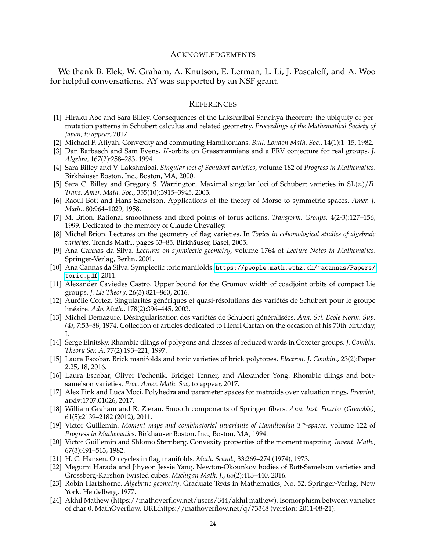### <span id="page-23-0"></span>ACKNOWLEDGEMENTS

We thank B. Elek, W. Graham, A. Knutson, E. Lerman, L. Li, J. Pascaleff, and A. Woo for helpful conversations. AY was supported by an NSF grant.

#### <span id="page-23-1"></span>**REFERENCES**

- <span id="page-23-4"></span>[1] Hiraku Abe and Sara Billey. Consequences of the Lakshmibai-Sandhya theorem: the ubiquity of permutation patterns in Schubert calculus and related geometry. *Proceedings of the Mathematical Society of Japan, to appear*, 2017.
- <span id="page-23-20"></span>[2] Michael F. Atiyah. Convexity and commuting Hamiltonians. *Bull. London Math. Soc.*, 14(1):1–15, 1982.
- <span id="page-23-15"></span>[3] Dan Barbasch and Sam Evens. K-orbits on Grassmannians and a PRV conjecture for real groups. *J. Algebra*, 167(2):258–283, 1994.
- <span id="page-23-2"></span>[4] Sara Billey and V. Lakshmibai. *Singular loci of Schubert varieties*, volume 182 of *Progress in Mathematics*. Birkhäuser Boston, Inc., Boston, MA, 2000.
- <span id="page-23-11"></span>[5] Sara C. Billey and Gregory S. Warrington. Maximal singular loci of Schubert varieties in  $SL(n)/B$ . *Trans. Amer. Math. Soc.*, 355(10):3915–3945, 2003.
- <span id="page-23-7"></span>[6] Raoul Bott and Hans Samelson. Applications of the theory of Morse to symmetric spaces. *Amer. J. Math.*, 80:964–1029, 1958.
- <span id="page-23-16"></span>[7] M. Brion. Rational smoothness and fixed points of torus actions. *Transform. Groups*, 4(2-3):127–156, 1999. Dedicated to the memory of Claude Chevalley.
- <span id="page-23-3"></span>[8] Michel Brion. Lectures on the geometry of flag varieties. In *Topics in cohomological studies of algebraic varieties*, Trends Math., pages 33–85. Birkhauser, Basel, 2005. ¨
- <span id="page-23-25"></span>[9] Ana Cannas da Silva. *Lectures on symplectic geometry*, volume 1764 of *Lecture Notes in Mathematics*. Springer-Verlag, Berlin, 2001.
- <span id="page-23-19"></span>[10] Ana Cannas da Silva. Symplectic toric manifolds. [https://people.math.ethz.ch/~acannas/Papers/](https://people.math.ethz.ch/~acannas/Papers/toric.pdf) [toric.pdf](https://people.math.ethz.ch/~acannas/Papers/toric.pdf), 2011.
- <span id="page-23-22"></span>[11] Alexander Caviedes Castro. Upper bound for the Gromov width of coadjoint orbits of compact Lie groups. *J. Lie Theory*, 26(3):821–860, 2016.
- <span id="page-23-10"></span>[12] Aurélie Cortez. Singularités génériques et quasi-résolutions des variétés de Schubert pour le groupe linéaire. *Adv. Math.*, 178(2):396-445, 2003.
- <span id="page-23-6"></span>[13] Michel Demazure. Désingularisation des variétés de Schubert généralisées. Ann. Sci. École Norm. Sup. *(4)*, 7:53–88, 1974. Collection of articles dedicated to Henri Cartan on the occasion of his 70th birthday, I.
- <span id="page-23-14"></span>[14] Serge Elnitsky. Rhombic tilings of polygons and classes of reduced words in Coxeter groups. *J. Combin. Theory Ser. A*, 77(2):193–221, 1997.
- <span id="page-23-12"></span>[15] Laura Escobar. Brick manifolds and toric varieties of brick polytopes. *Electron. J. Combin.*, 23(2):Paper 2.25, 18, 2016.
- <span id="page-23-13"></span>[16] Laura Escobar, Oliver Pechenik, Bridget Tenner, and Alexander Yong. Rhombic tilings and bottsamelson varieties. *Proc. Amer. Math. Soc*, to appear, 2017.
- <span id="page-23-9"></span>[17] Alex Fink and Luca Moci. Polyhedra and parameter spaces for matroids over valuation rings. *Preprint*, arxiv:1707.01026, 2017.
- <span id="page-23-24"></span>[18] William Graham and R. Zierau. Smooth components of Springer fibers. *Ann. Inst. Fourier (Grenoble)*, 61(5):2139–2182 (2012), 2011.
- <span id="page-23-23"></span>[19] Victor Guillemin. *Moment maps and combinatorial invariants of Hamiltonian* T <sup>n</sup>*-spaces*, volume 122 of *Progress in Mathematics*. Birkhauser Boston, Inc., Boston, MA, 1994. ¨
- <span id="page-23-21"></span>[20] Victor Guillemin and Shlomo Sternberg. Convexity properties of the moment mapping. *Invent. Math.*, 67(3):491–513, 1982.
- <span id="page-23-5"></span>[21] H. C. Hansen. On cycles in flag manifolds. *Math. Scand.*, 33:269–274 (1974), 1973.
- <span id="page-23-8"></span>[22] Megumi Harada and Jihyeon Jessie Yang. Newton-Okounkov bodies of Bott-Samelson varieties and Grossberg-Karshon twisted cubes. *Michigan Math. J.*, 65(2):413–440, 2016.
- <span id="page-23-18"></span>[23] Robin Hartshorne. *Algebraic geometry*. Graduate Texts in Mathematics, No. 52. Springer-Verlag, New York. Heidelberg, 1977.
- <span id="page-23-17"></span>[24] Akhil Mathew (https://mathoverflow.net/users/344/akhil mathew). Isomorphism between varieties of char 0. MathOverflow. URL:https://mathoverflow.net/q/73348 (version: 2011-08-21).